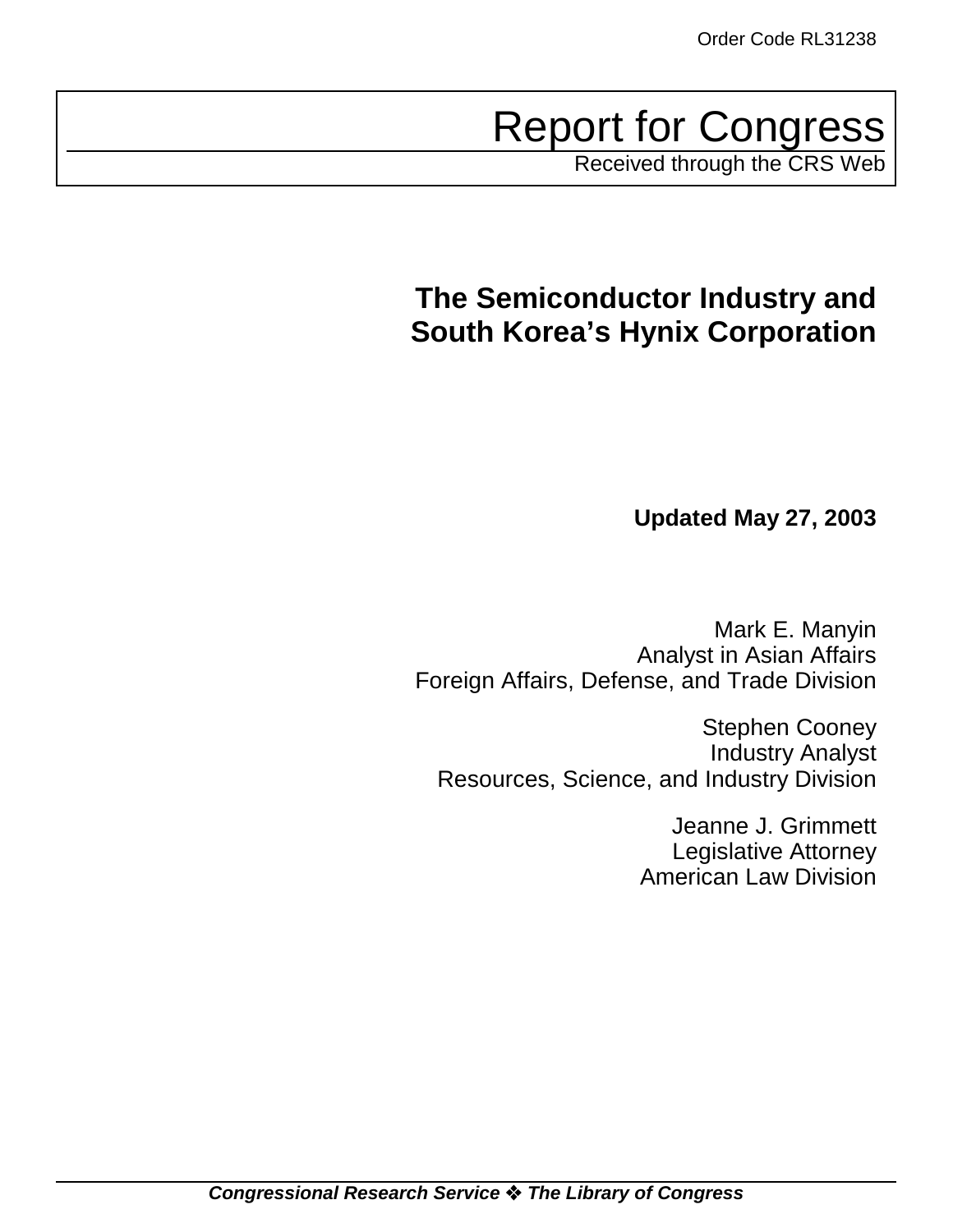Report for Congress

Received through the CRS Web

# **The Semiconductor Industry and South Korea's Hynix Corporation**

**Updated May 27, 2003**

Mark E. Manyin Analyst in Asian Affairs Foreign Affairs, Defense, and Trade Division

Stephen Cooney Industry Analyst Resources, Science, and Industry Division

> Jeanne J. Grimmett Legislative Attorney American Law Division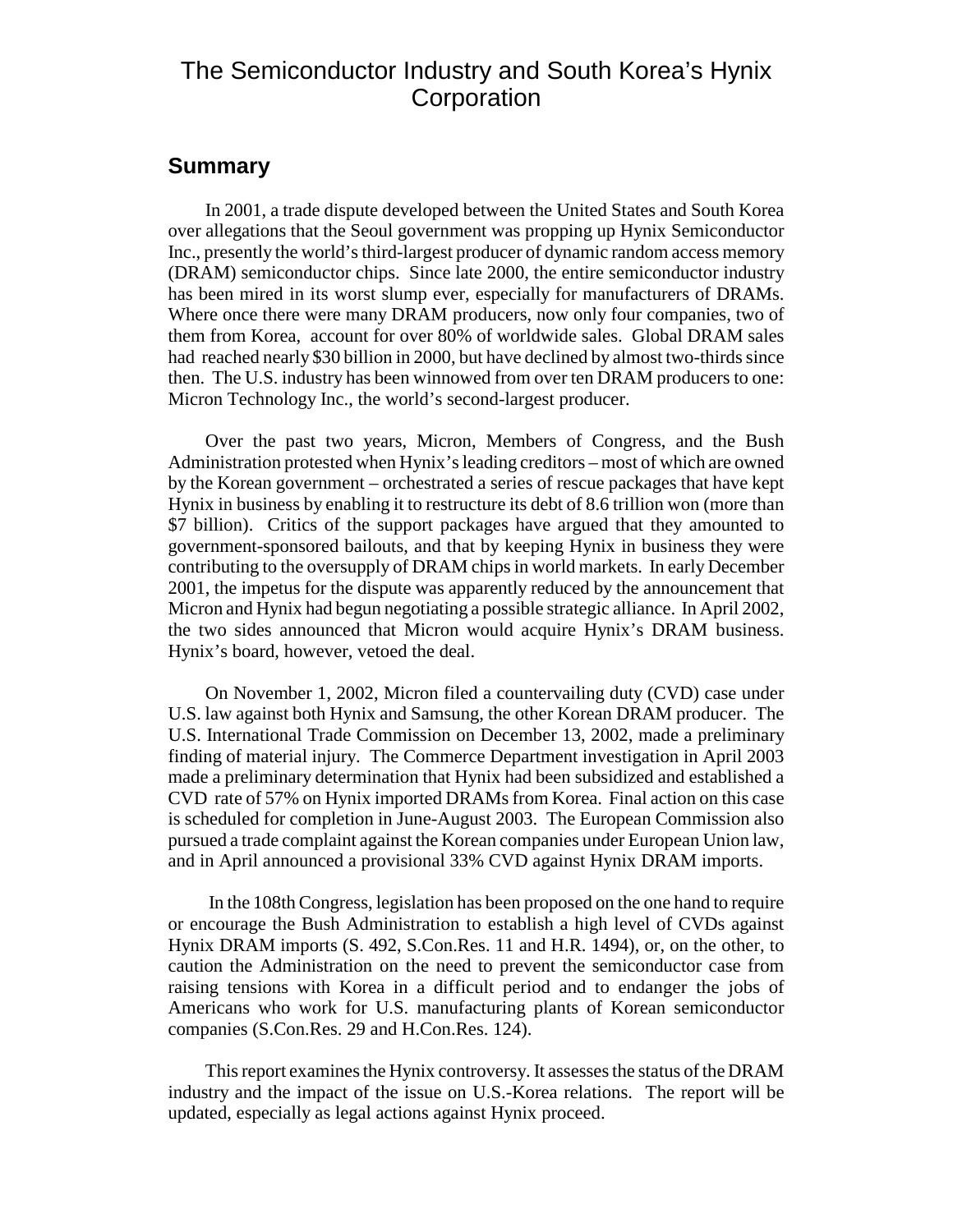# The Semiconductor Industry and South Korea's Hynix **Corporation**

### **Summary**

In 2001, a trade dispute developed between the United States and South Korea over allegations that the Seoul government was propping up Hynix Semiconductor Inc., presently the world's third-largest producer of dynamic random access memory (DRAM) semiconductor chips. Since late 2000, the entire semiconductor industry has been mired in its worst slump ever, especially for manufacturers of DRAMs. Where once there were many DRAM producers, now only four companies, two of them from Korea, account for over 80% of worldwide sales. Global DRAM sales had reached nearly \$30 billion in 2000, but have declined by almost two-thirds since then. The U.S. industry has been winnowed from over ten DRAM producers to one: Micron Technology Inc., the world's second-largest producer.

Over the past two years, Micron, Members of Congress, and the Bush Administration protested when Hynix's leading creditors – most of which are owned by the Korean government – orchestrated a series of rescue packages that have kept Hynix in business by enabling it to restructure its debt of 8.6 trillion won (more than \$7 billion). Critics of the support packages have argued that they amounted to government-sponsored bailouts, and that by keeping Hynix in business they were contributing to the oversupply of DRAM chips in world markets. In early December 2001, the impetus for the dispute was apparently reduced by the announcement that Micron and Hynix had begun negotiating a possible strategic alliance. In April 2002, the two sides announced that Micron would acquire Hynix's DRAM business. Hynix's board, however, vetoed the deal.

On November 1, 2002, Micron filed a countervailing duty (CVD) case under U.S. law against both Hynix and Samsung, the other Korean DRAM producer. The U.S. International Trade Commission on December 13, 2002, made a preliminary finding of material injury. The Commerce Department investigation in April 2003 made a preliminary determination that Hynix had been subsidized and established a CVD rate of 57% on Hynix imported DRAMs from Korea. Final action on this case is scheduled for completion in June-August 2003. The European Commission also pursued a trade complaint against the Korean companies under European Union law, and in April announced a provisional 33% CVD against Hynix DRAM imports.

 In the 108th Congress, legislation has been proposed on the one hand to require or encourage the Bush Administration to establish a high level of CVDs against Hynix DRAM imports (S. 492, S.Con.Res. 11 and H.R. 1494), or, on the other, to caution the Administration on the need to prevent the semiconductor case from raising tensions with Korea in a difficult period and to endanger the jobs of Americans who work for U.S. manufacturing plants of Korean semiconductor companies (S.Con.Res. 29 and H.Con.Res. 124).

This report examines the Hynix controversy. It assesses the status of the DRAM industry and the impact of the issue on U.S.-Korea relations. The report will be updated, especially as legal actions against Hynix proceed.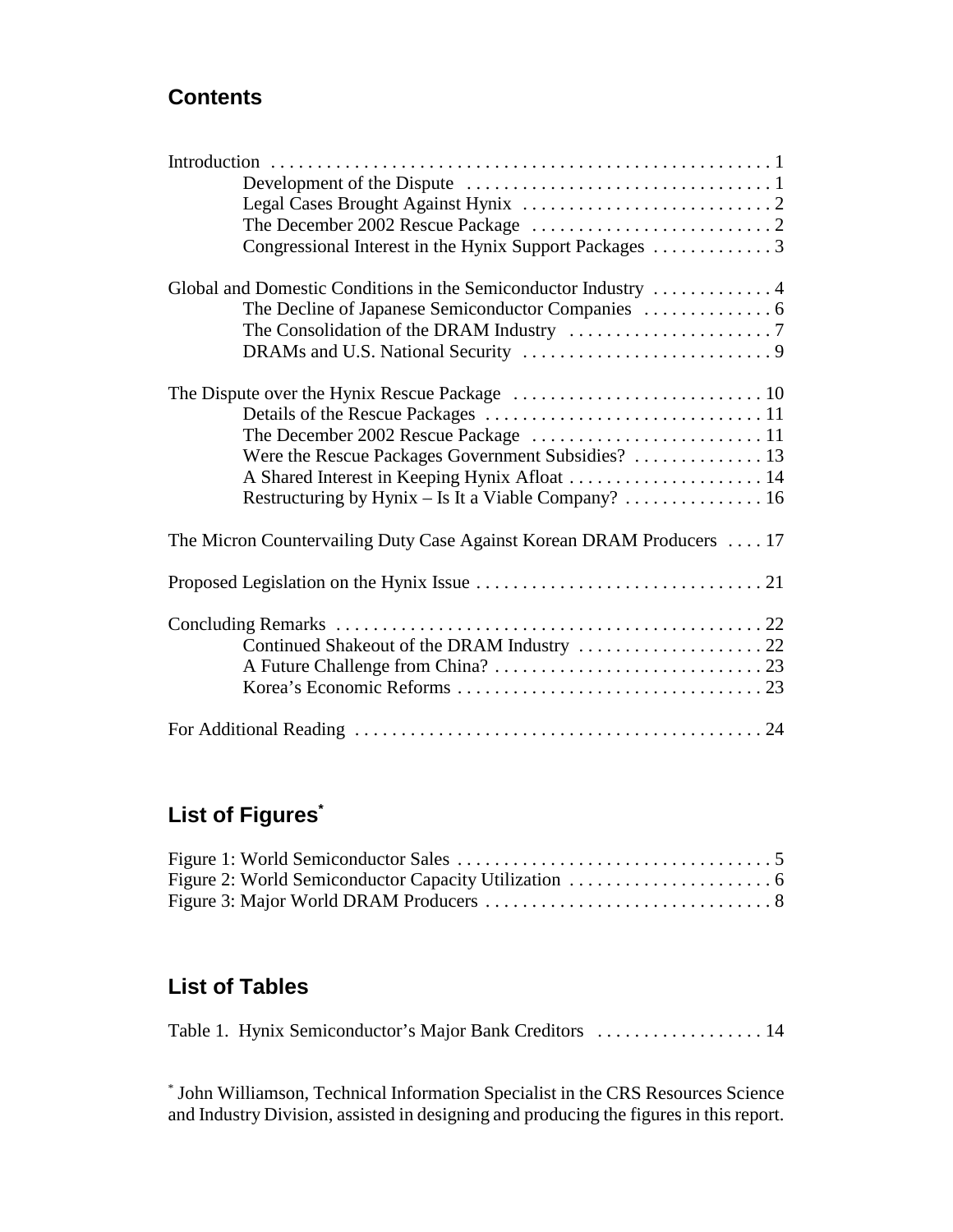# **Contents**

| Were the Rescue Packages Government Subsidies?  13                    |
|-----------------------------------------------------------------------|
| A Shared Interest in Keeping Hynix Afloat  14                         |
| Restructuring by Hynix - Is It a Viable Company?  16                  |
| The Micron Countervailing Duty Case Against Korean DRAM Producers  17 |
|                                                                       |
|                                                                       |
| Continued Shakeout of the DRAM Industry  22                           |
|                                                                       |
|                                                                       |
|                                                                       |

# **List of Figures\***

# **List of Tables**

Table 1. Hynix Semiconductor's Major Bank Creditors . . . . . . . . . . . . . . . . . . 14

\* John Williamson, Technical Information Specialist in the CRS Resources Science and Industry Division, assisted in designing and producing the figures in this report.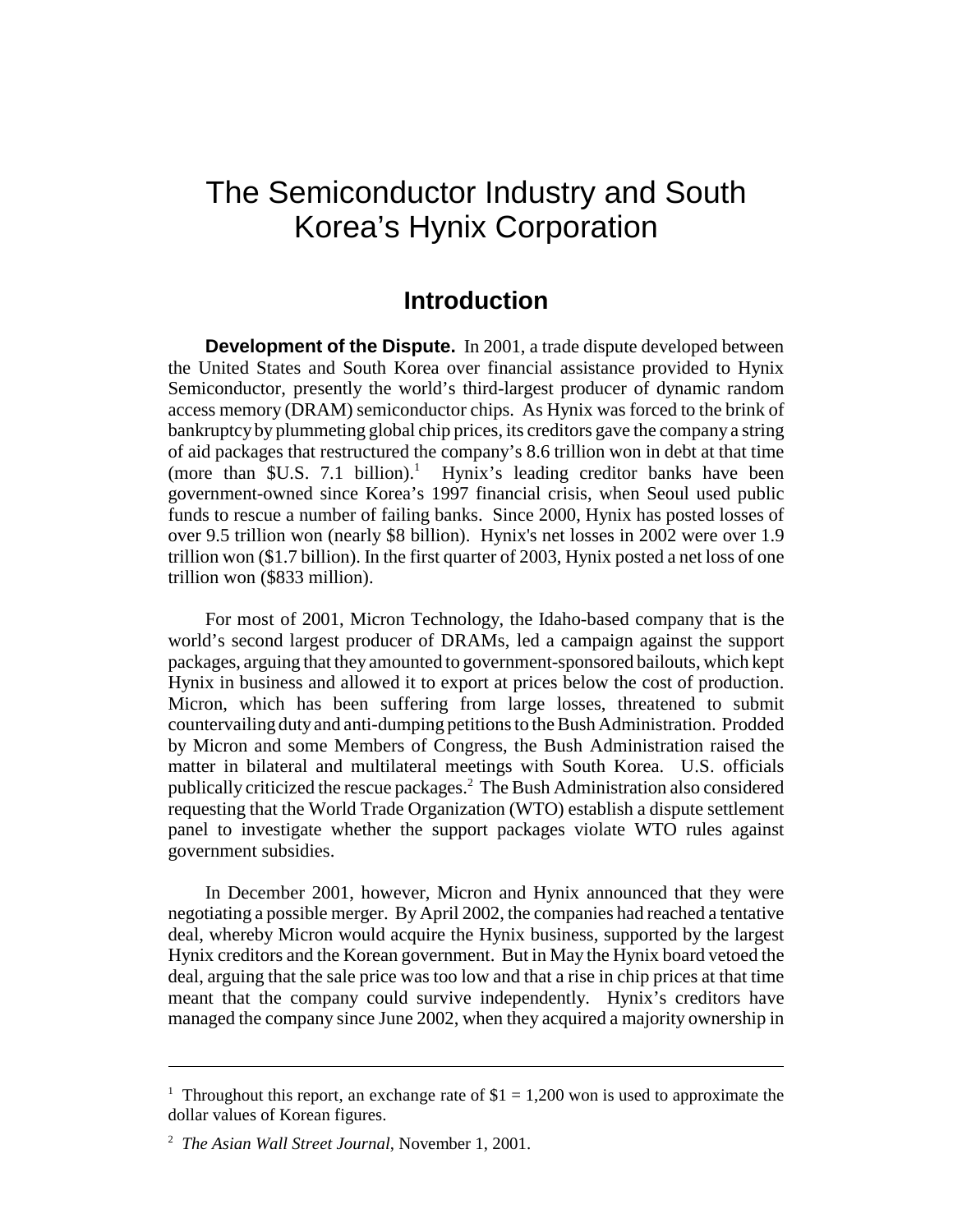# The Semiconductor Industry and South Korea's Hynix Corporation

### **Introduction**

**Development of the Dispute.** In 2001, a trade dispute developed between the United States and South Korea over financial assistance provided to Hynix Semiconductor, presently the world's third-largest producer of dynamic random access memory (DRAM) semiconductor chips. As Hynix was forced to the brink of bankruptcy by plummeting global chip prices, its creditors gave the company a string of aid packages that restructured the company's 8.6 trillion won in debt at that time (more than  $SU.S. 7.1$  billion).<sup>1</sup> Hynix's leading creditor banks have been government-owned since Korea's 1997 financial crisis, when Seoul used public funds to rescue a number of failing banks. Since 2000, Hynix has posted losses of over 9.5 trillion won (nearly \$8 billion). Hynix's net losses in 2002 were over 1.9 trillion won (\$1.7 billion). In the first quarter of 2003, Hynix posted a net loss of one trillion won (\$833 million).

For most of 2001, Micron Technology, the Idaho-based company that is the world's second largest producer of DRAMs, led a campaign against the support packages, arguing that they amounted to government-sponsored bailouts, which kept Hynix in business and allowed it to export at prices below the cost of production. Micron, which has been suffering from large losses, threatened to submit countervailing duty and anti-dumping petitions to the Bush Administration. Prodded by Micron and some Members of Congress, the Bush Administration raised the matter in bilateral and multilateral meetings with South Korea. U.S. officials publically criticized the rescue packages.2 The Bush Administration also considered requesting that the World Trade Organization (WTO) establish a dispute settlement panel to investigate whether the support packages violate WTO rules against government subsidies.

In December 2001, however, Micron and Hynix announced that they were negotiating a possible merger. By April 2002, the companies had reached a tentative deal, whereby Micron would acquire the Hynix business, supported by the largest Hynix creditors and the Korean government. But in May the Hynix board vetoed the deal, arguing that the sale price was too low and that a rise in chip prices at that time meant that the company could survive independently. Hynix's creditors have managed the company since June 2002, when they acquired a majority ownership in

<sup>&</sup>lt;sup>1</sup> Throughout this report, an exchange rate of  $$1 = 1,200$  won is used to approximate the dollar values of Korean figures.

<sup>2</sup> *The Asian Wall Street Journal*, November 1, 2001.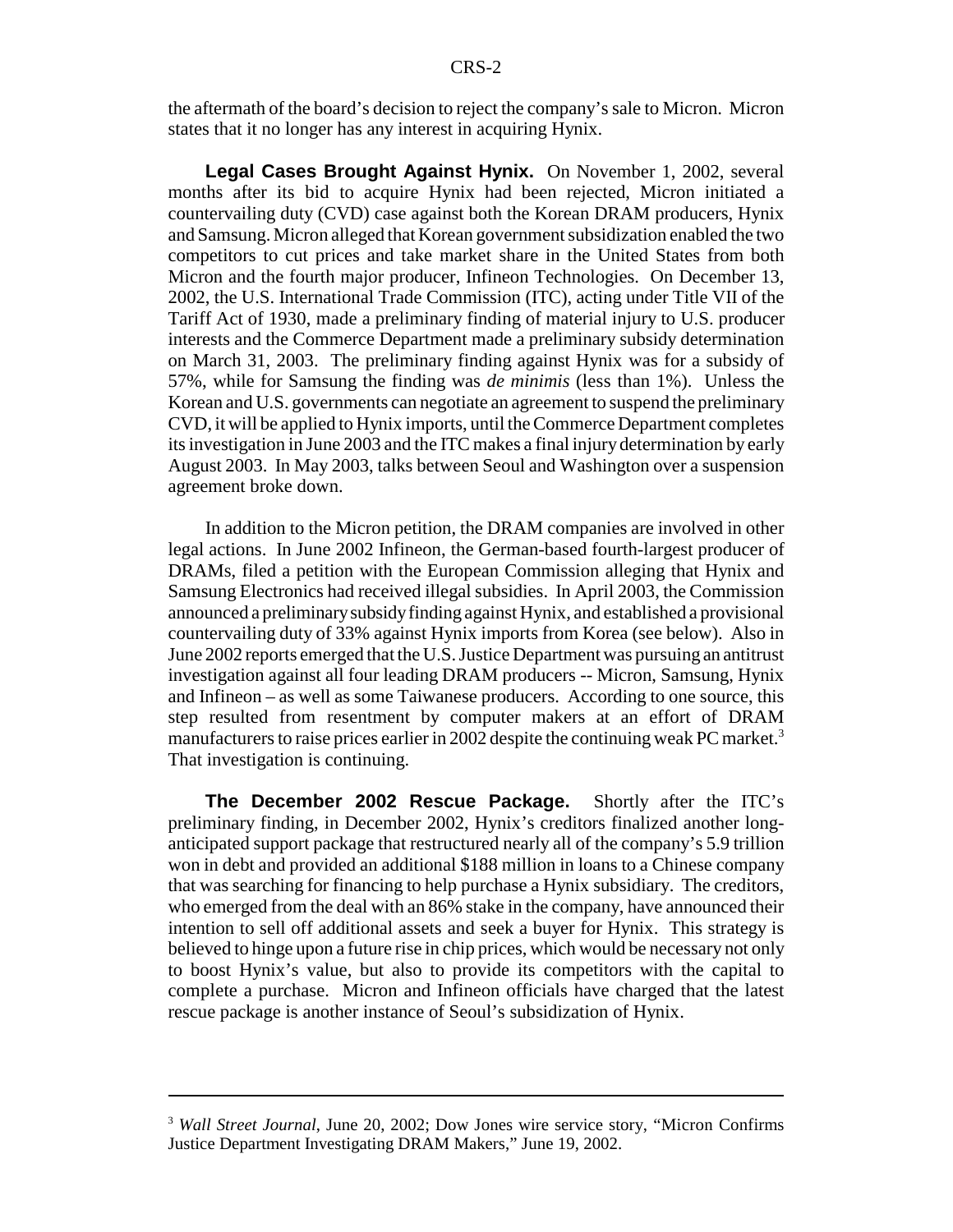the aftermath of the board's decision to reject the company's sale to Micron. Micron states that it no longer has any interest in acquiring Hynix.

**Legal Cases Brought Against Hynix.** On November 1, 2002, several months after its bid to acquire Hynix had been rejected, Micron initiated a countervailing duty (CVD) case against both the Korean DRAM producers, Hynix and Samsung. Micron alleged that Korean government subsidization enabled the two competitors to cut prices and take market share in the United States from both Micron and the fourth major producer, Infineon Technologies. On December 13, 2002, the U.S. International Trade Commission (ITC), acting under Title VII of the Tariff Act of 1930, made a preliminary finding of material injury to U.S. producer interests and the Commerce Department made a preliminary subsidy determination on March 31, 2003. The preliminary finding against Hynix was for a subsidy of 57%, while for Samsung the finding was *de minimis* (less than 1%). Unless the Korean and U.S. governments can negotiate an agreement to suspend the preliminary CVD, it will be applied to Hynix imports, until the Commerce Department completes its investigation in June 2003 and the ITC makes a final injury determination by early August 2003. In May 2003, talks between Seoul and Washington over a suspension agreement broke down.

In addition to the Micron petition, the DRAM companies are involved in other legal actions. In June 2002 Infineon, the German-based fourth-largest producer of DRAMs, filed a petition with the European Commission alleging that Hynix and Samsung Electronics had received illegal subsidies. In April 2003, the Commission announced a preliminary subsidy finding against Hynix, and established a provisional countervailing duty of 33% against Hynix imports from Korea (see below). Also in June 2002 reports emerged that the U.S. Justice Department was pursuing an antitrust investigation against all four leading DRAM producers -- Micron, Samsung, Hynix and Infineon – as well as some Taiwanese producers. According to one source, this step resulted from resentment by computer makers at an effort of DRAM manufacturers to raise prices earlier in 2002 despite the continuing weak PC market.<sup>3</sup> That investigation is continuing.

**The December 2002 Rescue Package.** Shortly after the ITC's preliminary finding, in December 2002, Hynix's creditors finalized another longanticipated support package that restructured nearly all of the company's 5.9 trillion won in debt and provided an additional \$188 million in loans to a Chinese company that was searching for financing to help purchase a Hynix subsidiary. The creditors, who emerged from the deal with an 86% stake in the company, have announced their intention to sell off additional assets and seek a buyer for Hynix. This strategy is believed to hinge upon a future rise in chip prices, which would be necessary not only to boost Hynix's value, but also to provide its competitors with the capital to complete a purchase. Micron and Infineon officials have charged that the latest rescue package is another instance of Seoul's subsidization of Hynix.

<sup>3</sup> *Wall Street Journal*, June 20, 2002; Dow Jones wire service story, "Micron Confirms Justice Department Investigating DRAM Makers," June 19, 2002.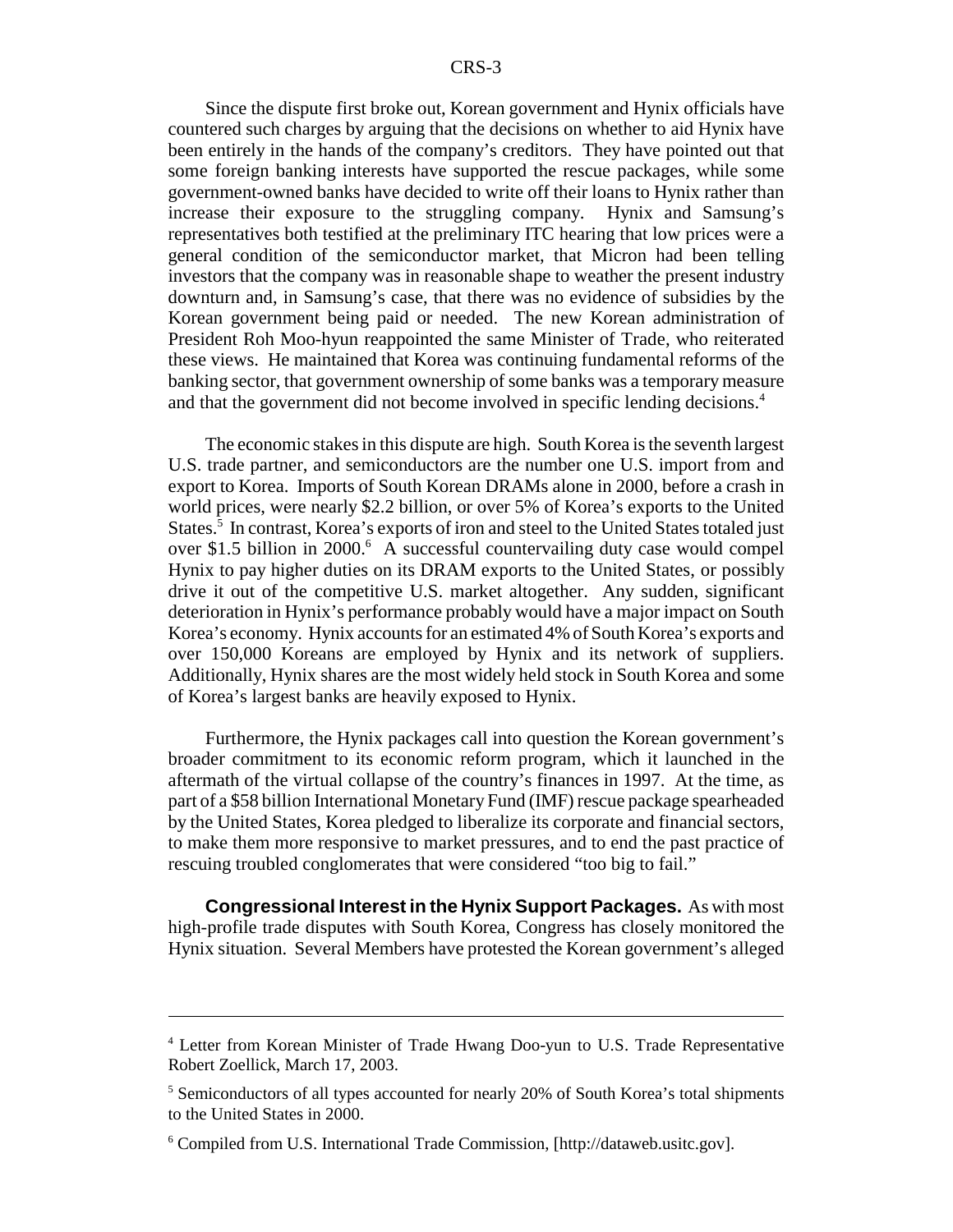Since the dispute first broke out, Korean government and Hynix officials have countered such charges by arguing that the decisions on whether to aid Hynix have been entirely in the hands of the company's creditors. They have pointed out that some foreign banking interests have supported the rescue packages, while some government-owned banks have decided to write off their loans to Hynix rather than increase their exposure to the struggling company. Hynix and Samsung's representatives both testified at the preliminary ITC hearing that low prices were a general condition of the semiconductor market, that Micron had been telling investors that the company was in reasonable shape to weather the present industry downturn and, in Samsung's case, that there was no evidence of subsidies by the Korean government being paid or needed. The new Korean administration of President Roh Moo-hyun reappointed the same Minister of Trade, who reiterated these views. He maintained that Korea was continuing fundamental reforms of the banking sector, that government ownership of some banks was a temporary measure and that the government did not become involved in specific lending decisions.<sup>4</sup>

The economic stakes in this dispute are high. South Korea is the seventh largest U.S. trade partner, and semiconductors are the number one U.S. import from and export to Korea. Imports of South Korean DRAMs alone in 2000, before a crash in world prices, were nearly \$2.2 billion, or over 5% of Korea's exports to the United States.<sup>5</sup> In contrast, Korea's exports of iron and steel to the United States totaled just over \$1.5 billion in 2000.<sup>6</sup> A successful countervailing duty case would compel Hynix to pay higher duties on its DRAM exports to the United States, or possibly drive it out of the competitive U.S. market altogether. Any sudden, significant deterioration in Hynix's performance probably would have a major impact on South Korea's economy. Hynix accounts for an estimated 4% of South Korea's exports and over 150,000 Koreans are employed by Hynix and its network of suppliers. Additionally, Hynix shares are the most widely held stock in South Korea and some of Korea's largest banks are heavily exposed to Hynix.

Furthermore, the Hynix packages call into question the Korean government's broader commitment to its economic reform program, which it launched in the aftermath of the virtual collapse of the country's finances in 1997. At the time, as part of a \$58 billion International Monetary Fund (IMF) rescue package spearheaded by the United States, Korea pledged to liberalize its corporate and financial sectors, to make them more responsive to market pressures, and to end the past practice of rescuing troubled conglomerates that were considered "too big to fail."

**Congressional Interest in the Hynix Support Packages.** As with most high-profile trade disputes with South Korea, Congress has closely monitored the Hynix situation. Several Members have protested the Korean government's alleged

<sup>&</sup>lt;sup>4</sup> Letter from Korean Minister of Trade Hwang Doo-yun to U.S. Trade Representative Robert Zoellick, March 17, 2003.

<sup>&</sup>lt;sup>5</sup> Semiconductors of all types accounted for nearly 20% of South Korea's total shipments to the United States in 2000.

<sup>6</sup> Compiled from U.S. International Trade Commission, [http://dataweb.usitc.gov].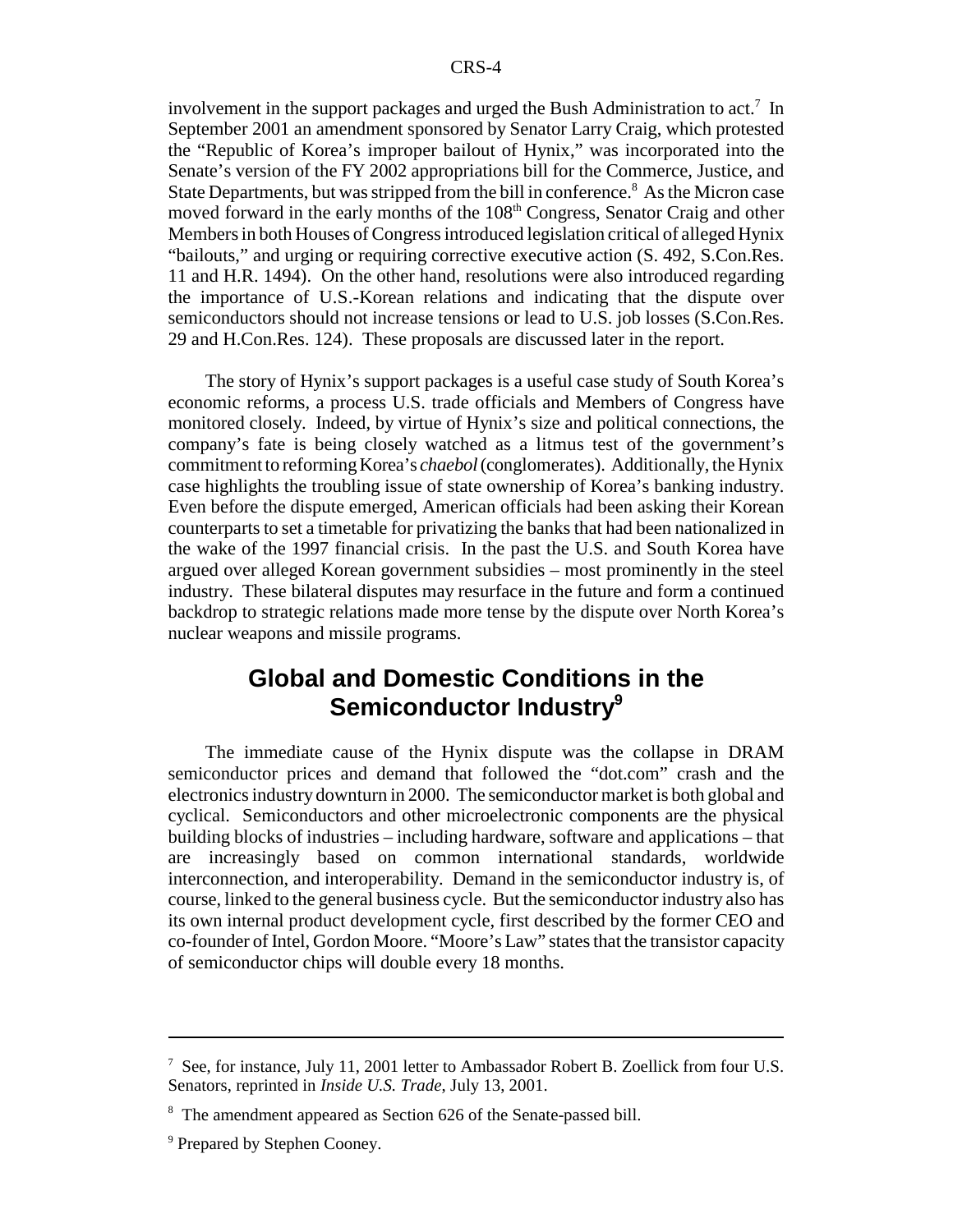involvement in the support packages and urged the Bush Administration to act.<sup>7</sup> In September 2001 an amendment sponsored by Senator Larry Craig, which protested the "Republic of Korea's improper bailout of Hynix," was incorporated into the Senate's version of the FY 2002 appropriations bill for the Commerce, Justice, and State Departments, but was stripped from the bill in conference.<sup>8</sup> As the Micron case moved forward in the early months of the 108<sup>th</sup> Congress, Senator Craig and other Members in both Houses of Congress introduced legislation critical of alleged Hynix "bailouts," and urging or requiring corrective executive action (S. 492, S.Con.Res. 11 and H.R. 1494). On the other hand, resolutions were also introduced regarding the importance of U.S.-Korean relations and indicating that the dispute over semiconductors should not increase tensions or lead to U.S. job losses (S.Con.Res. 29 and H.Con.Res. 124). These proposals are discussed later in the report.

The story of Hynix's support packages is a useful case study of South Korea's economic reforms, a process U.S. trade officials and Members of Congress have monitored closely. Indeed, by virtue of Hynix's size and political connections, the company's fate is being closely watched as a litmus test of the government's commitment to reforming Korea's *chaebol* (conglomerates). Additionally, the Hynix case highlights the troubling issue of state ownership of Korea's banking industry. Even before the dispute emerged, American officials had been asking their Korean counterparts to set a timetable for privatizing the banks that had been nationalized in the wake of the 1997 financial crisis. In the past the U.S. and South Korea have argued over alleged Korean government subsidies – most prominently in the steel industry. These bilateral disputes may resurface in the future and form a continued backdrop to strategic relations made more tense by the dispute over North Korea's nuclear weapons and missile programs.

## **Global and Domestic Conditions in the Semiconductor Industry9**

The immediate cause of the Hynix dispute was the collapse in DRAM semiconductor prices and demand that followed the "dot.com" crash and the electronics industry downturn in 2000. The semiconductor market is both global and cyclical. Semiconductors and other microelectronic components are the physical building blocks of industries – including hardware, software and applications – that are increasingly based on common international standards, worldwide interconnection, and interoperability. Demand in the semiconductor industry is, of course, linked to the general business cycle. But the semiconductor industry also has its own internal product development cycle, first described by the former CEO and co-founder of Intel, Gordon Moore. "Moore's Law" states that the transistor capacity of semiconductor chips will double every 18 months.

 $^7$  See, for instance, July 11, 2001 letter to Ambassador Robert B. Zoellick from four U.S. Senators, reprinted in *Inside U.S. Trade*, July 13, 2001.

<sup>&</sup>lt;sup>8</sup> The amendment appeared as Section 626 of the Senate-passed bill.

<sup>&</sup>lt;sup>9</sup> Prepared by Stephen Cooney.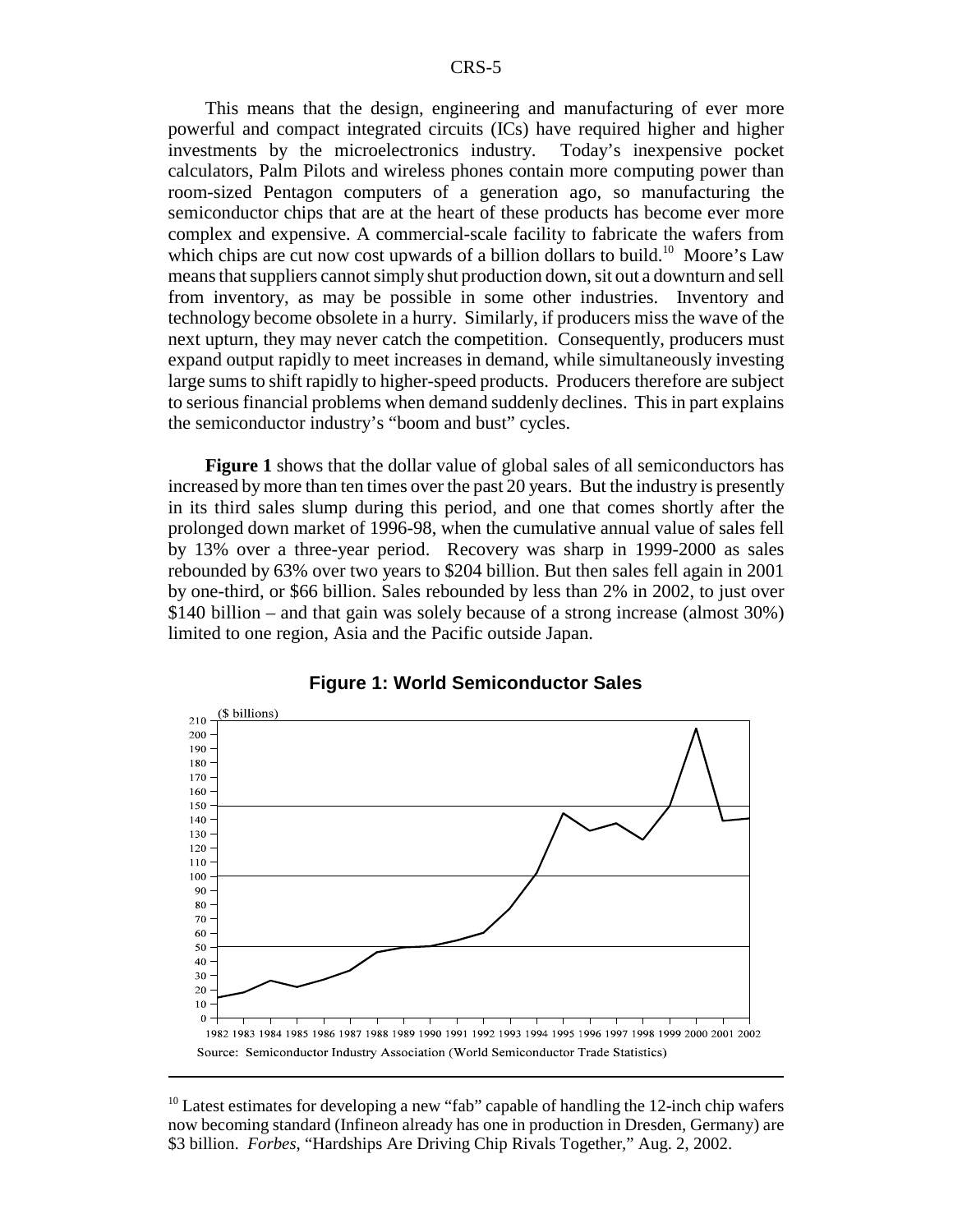This means that the design, engineering and manufacturing of ever more powerful and compact integrated circuits (ICs) have required higher and higher investments by the microelectronics industry. Today's inexpensive pocket calculators, Palm Pilots and wireless phones contain more computing power than room-sized Pentagon computers of a generation ago, so manufacturing the semiconductor chips that are at the heart of these products has become ever more complex and expensive. A commercial-scale facility to fabricate the wafers from which chips are cut now cost upwards of a billion dollars to build.<sup>10</sup> Moore's Law means that suppliers cannot simply shut production down, sit out a downturn and sell from inventory, as may be possible in some other industries. Inventory and technology become obsolete in a hurry. Similarly, if producers miss the wave of the next upturn, they may never catch the competition. Consequently, producers must expand output rapidly to meet increases in demand, while simultaneously investing large sums to shift rapidly to higher-speed products. Producers therefore are subject to serious financial problems when demand suddenly declines. This in part explains the semiconductor industry's "boom and bust" cycles.

**Figure 1** shows that the dollar value of global sales of all semiconductors has increased by more than ten times over the past 20 years. But the industry is presently in its third sales slump during this period, and one that comes shortly after the prolonged down market of 1996-98, when the cumulative annual value of sales fell by 13% over a three-year period. Recovery was sharp in 1999-2000 as sales rebounded by 63% over two years to \$204 billion. But then sales fell again in 2001 by one-third, or \$66 billion. Sales rebounded by less than 2% in 2002, to just over \$140 billion – and that gain was solely because of a strong increase (almost 30%) limited to one region, Asia and the Pacific outside Japan.





<sup>&</sup>lt;sup>10</sup> Latest estimates for developing a new "fab" capable of handling the 12-inch chip wafers now becoming standard (Infineon already has one in production in Dresden, Germany) are \$3 billion. *Forbes*, "Hardships Are Driving Chip Rivals Together," Aug. 2, 2002.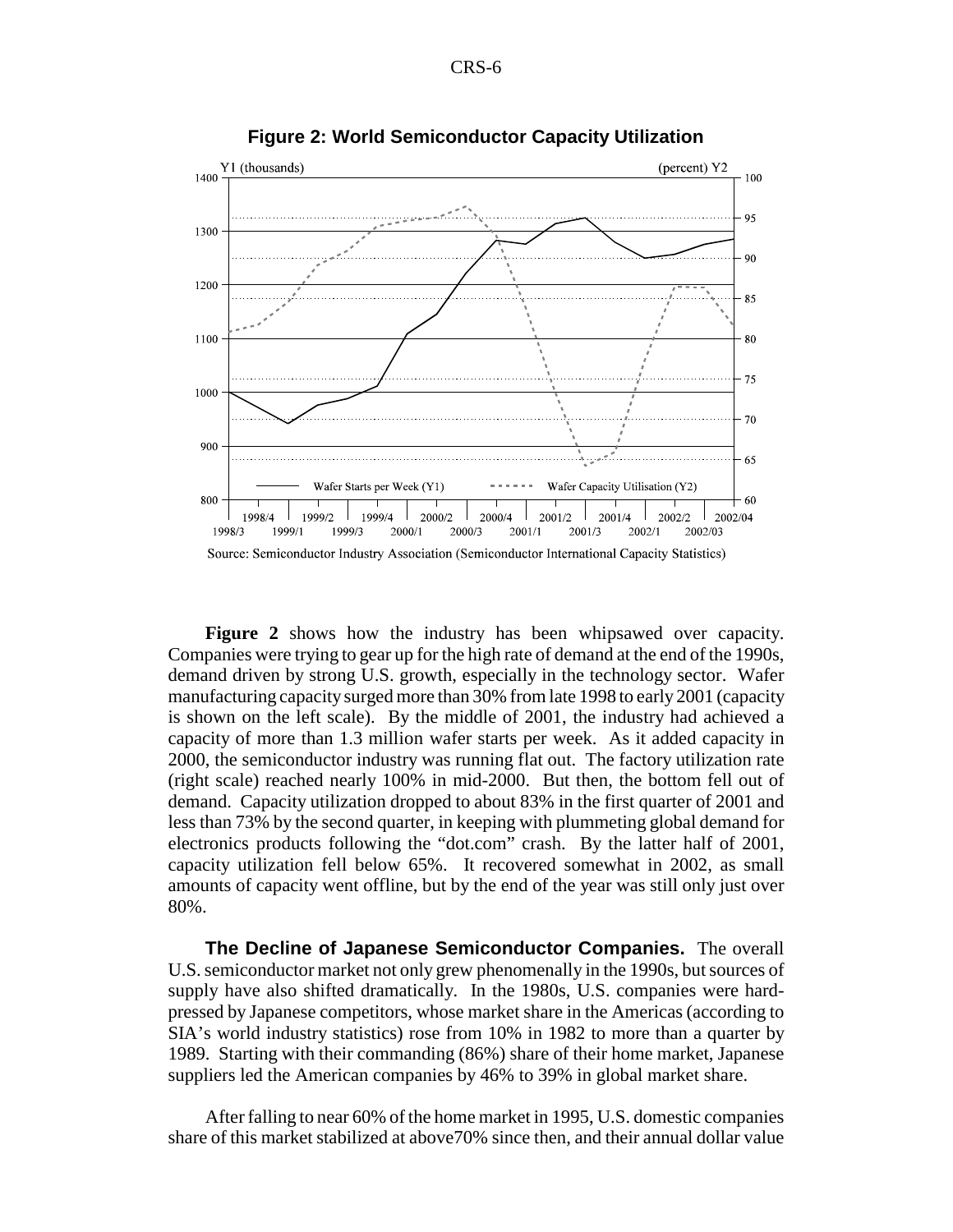

**Figure 2: World Semiconductor Capacity Utilization**

**Figure 2** shows how the industry has been whipsawed over capacity. Companies were trying to gear up for the high rate of demand at the end of the 1990s, demand driven by strong U.S. growth, especially in the technology sector. Wafer manufacturing capacity surged more than 30% from late 1998 to early 2001 (capacity is shown on the left scale). By the middle of 2001, the industry had achieved a capacity of more than 1.3 million wafer starts per week. As it added capacity in 2000, the semiconductor industry was running flat out. The factory utilization rate (right scale) reached nearly 100% in mid-2000. But then, the bottom fell out of demand. Capacity utilization dropped to about 83% in the first quarter of 2001 and less than 73% by the second quarter, in keeping with plummeting global demand for electronics products following the "dot.com" crash. By the latter half of 2001, capacity utilization fell below 65%. It recovered somewhat in 2002, as small amounts of capacity went offline, but by the end of the year was still only just over 80%.

**The Decline of Japanese Semiconductor Companies.** The overall U.S. semiconductor market not only grew phenomenally in the 1990s, but sources of supply have also shifted dramatically. In the 1980s, U.S. companies were hardpressed by Japanese competitors, whose market share in the Americas (according to SIA's world industry statistics) rose from 10% in 1982 to more than a quarter by 1989. Starting with their commanding (86%) share of their home market, Japanese suppliers led the American companies by 46% to 39% in global market share.

After falling to near 60% of the home market in 1995, U.S. domestic companies share of this market stabilized at above70% since then, and their annual dollar value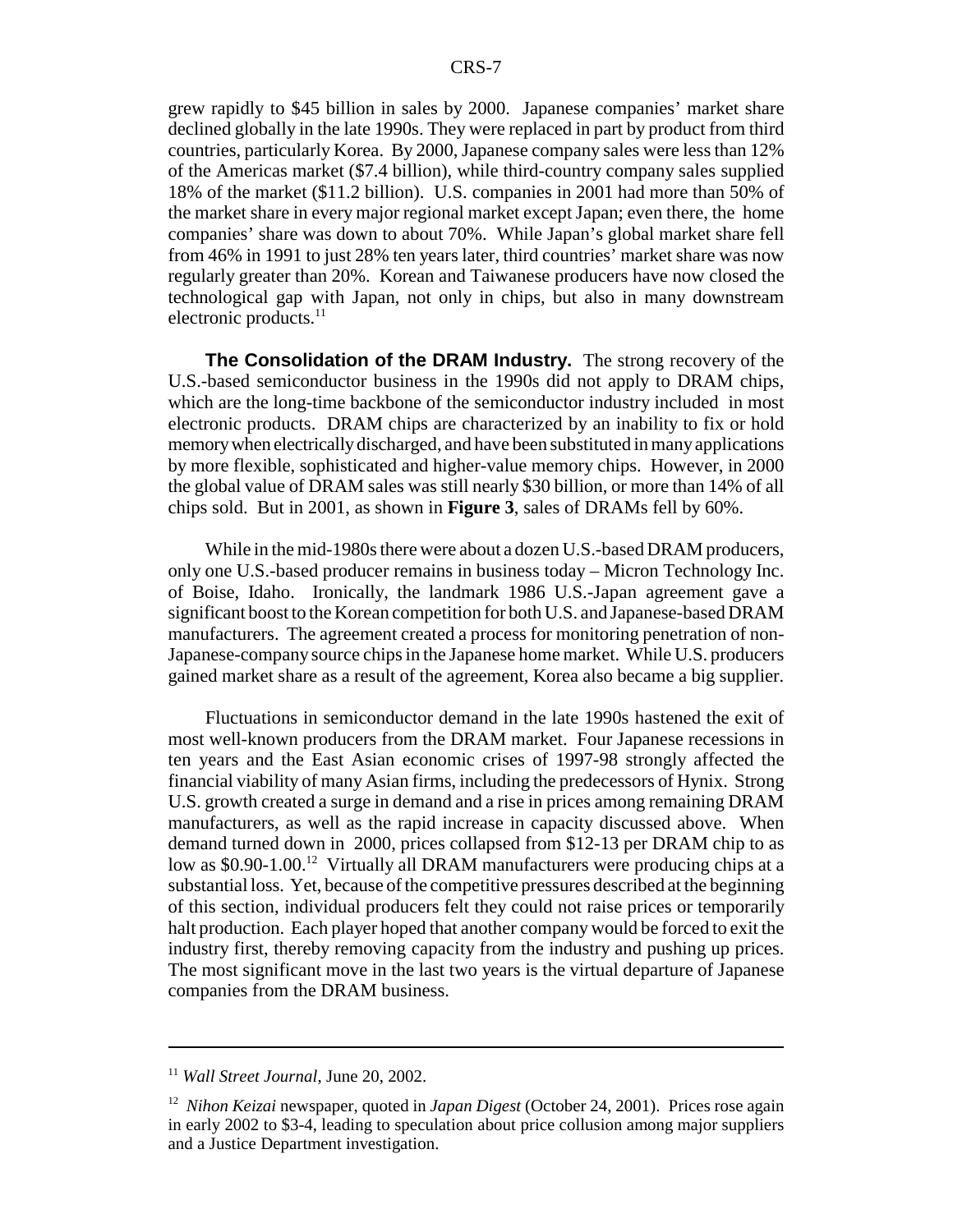grew rapidly to \$45 billion in sales by 2000. Japanese companies' market share declined globally in the late 1990s. They were replaced in part by product from third countries, particularly Korea. By 2000, Japanese company sales were less than 12% of the Americas market (\$7.4 billion), while third-country company sales supplied 18% of the market (\$11.2 billion). U.S. companies in 2001 had more than 50% of the market share in every major regional market except Japan; even there, the home companies' share was down to about 70%. While Japan's global market share fell from 46% in 1991 to just 28% ten years later, third countries' market share was now regularly greater than 20%. Korean and Taiwanese producers have now closed the technological gap with Japan, not only in chips, but also in many downstream electronic products. $^{11}$ 

**The Consolidation of the DRAM Industry.** The strong recovery of the U.S.-based semiconductor business in the 1990s did not apply to DRAM chips, which are the long-time backbone of the semiconductor industry included in most electronic products. DRAM chips are characterized by an inability to fix or hold memory when electrically discharged, and have been substituted in many applications by more flexible, sophisticated and higher-value memory chips. However, in 2000 the global value of DRAM sales was still nearly \$30 billion, or more than 14% of all chips sold. But in 2001, as shown in **Figure 3**, sales of DRAMs fell by 60%.

While in the mid-1980s there were about a dozen U.S.-based DRAM producers, only one U.S.-based producer remains in business today – Micron Technology Inc. of Boise, Idaho. Ironically, the landmark 1986 U.S.-Japan agreement gave a significant boost to the Korean competition for both U.S. and Japanese-based DRAM manufacturers. The agreement created a process for monitoring penetration of non-Japanese-company source chips in the Japanese home market. While U.S. producers gained market share as a result of the agreement, Korea also became a big supplier.

Fluctuations in semiconductor demand in the late 1990s hastened the exit of most well-known producers from the DRAM market. Four Japanese recessions in ten years and the East Asian economic crises of 1997-98 strongly affected the financial viability of many Asian firms, including the predecessors of Hynix. Strong U.S. growth created a surge in demand and a rise in prices among remaining DRAM manufacturers, as well as the rapid increase in capacity discussed above. When demand turned down in 2000, prices collapsed from \$12-13 per DRAM chip to as low as \$0.90-1.00.<sup>12</sup> Virtually all DRAM manufacturers were producing chips at a substantial loss. Yet, because of the competitive pressures described at the beginning of this section, individual producers felt they could not raise prices or temporarily halt production. Each player hoped that another company would be forced to exit the industry first, thereby removing capacity from the industry and pushing up prices. The most significant move in the last two years is the virtual departure of Japanese companies from the DRAM business.

<sup>11</sup> *Wall Street Journal*, June 20, 2002.

<sup>12</sup> *Nihon Keizai* newspaper, quoted in *Japan Digest* (October 24, 2001). Prices rose again in early 2002 to \$3-4, leading to speculation about price collusion among major suppliers and a Justice Department investigation.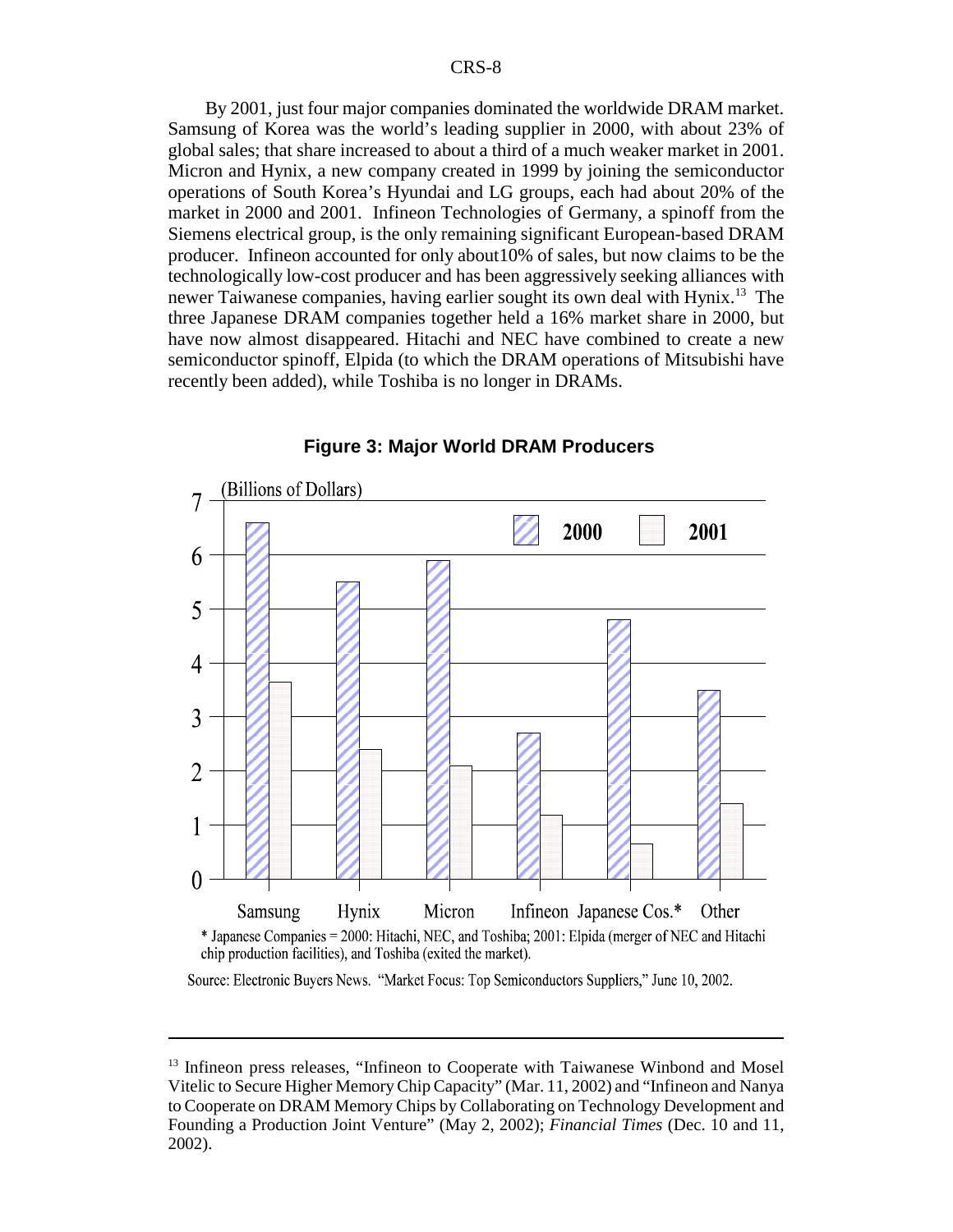By 2001, just four major companies dominated the worldwide DRAM market. Samsung of Korea was the world's leading supplier in 2000, with about 23% of global sales; that share increased to about a third of a much weaker market in 2001. Micron and Hynix, a new company created in 1999 by joining the semiconductor operations of South Korea's Hyundai and LG groups, each had about 20% of the market in 2000 and 2001. Infineon Technologies of Germany, a spinoff from the Siemens electrical group, is the only remaining significant European-based DRAM producer. Infineon accounted for only about10% of sales, but now claims to be the technologically low-cost producer and has been aggressively seeking alliances with newer Taiwanese companies, having earlier sought its own deal with Hynix.<sup>13</sup> The three Japanese DRAM companies together held a 16% market share in 2000, but have now almost disappeared. Hitachi and NEC have combined to create a new semiconductor spinoff, Elpida (to which the DRAM operations of Mitsubishi have recently been added), while Toshiba is no longer in DRAMs.



#### **Figure 3: Major World DRAM Producers**

Source: Electronic Buyers News. "Market Focus: Top Semiconductors Suppliers," June 10, 2002.

<sup>&</sup>lt;sup>13</sup> Infineon press releases, "Infineon to Cooperate with Taiwanese Winbond and Mosel Vitelic to Secure Higher Memory Chip Capacity" (Mar. 11, 2002) and "Infineon and Nanya to Cooperate on DRAM Memory Chips by Collaborating on Technology Development and Founding a Production Joint Venture" (May 2, 2002); *Financial Times* (Dec. 10 and 11, 2002).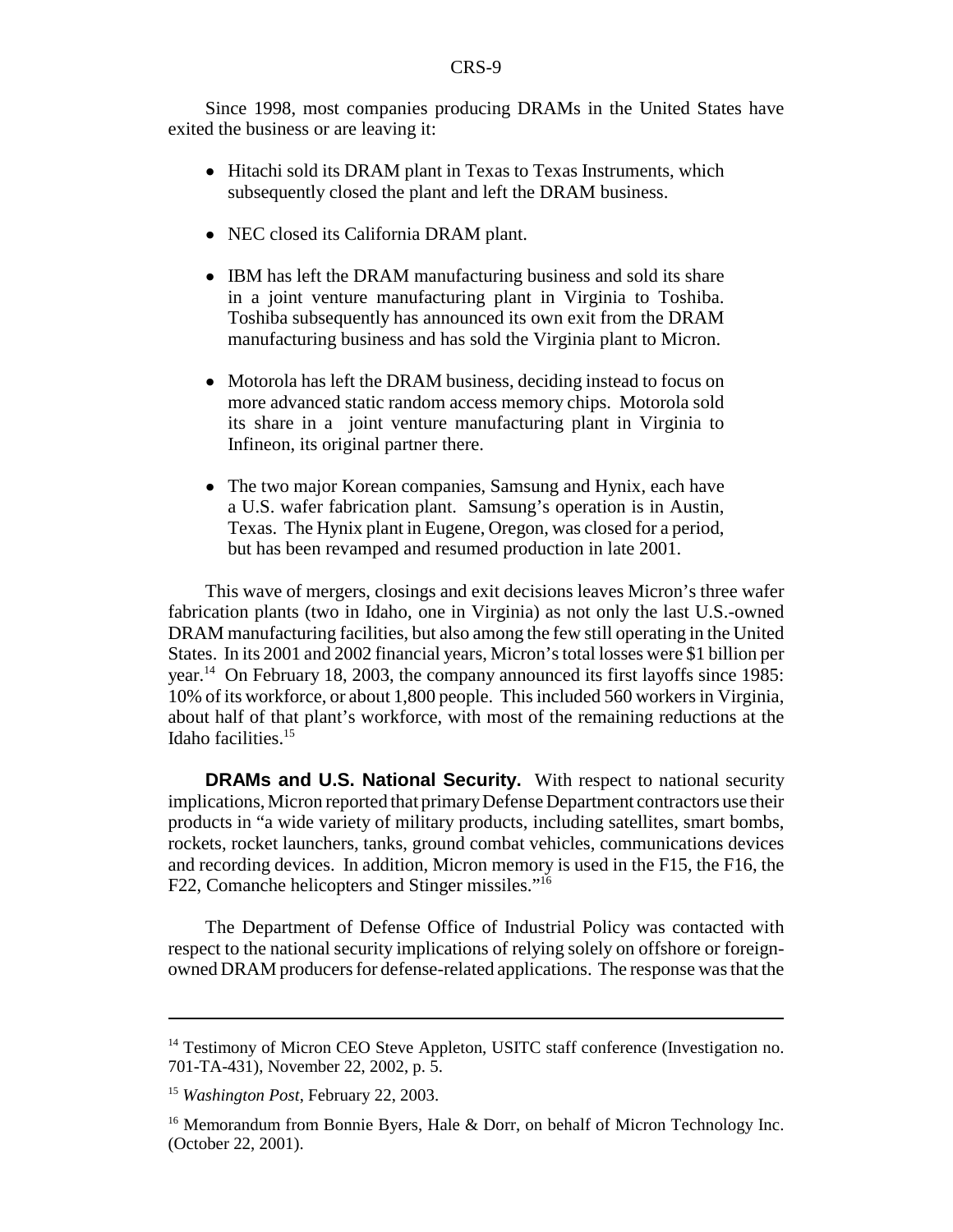Since 1998, most companies producing DRAMs in the United States have exited the business or are leaving it:

- ! Hitachi sold its DRAM plant in Texas to Texas Instruments, which subsequently closed the plant and left the DRAM business.
- NEC closed its California DRAM plant.
- IBM has left the DRAM manufacturing business and sold its share in a joint venture manufacturing plant in Virginia to Toshiba. Toshiba subsequently has announced its own exit from the DRAM manufacturing business and has sold the Virginia plant to Micron.
- Motorola has left the DRAM business, deciding instead to focus on more advanced static random access memory chips. Motorola sold its share in a joint venture manufacturing plant in Virginia to Infineon, its original partner there.
- The two major Korean companies, Samsung and Hynix, each have a U.S. wafer fabrication plant. Samsung's operation is in Austin, Texas. The Hynix plant in Eugene, Oregon, was closed for a period, but has been revamped and resumed production in late 2001.

This wave of mergers, closings and exit decisions leaves Micron's three wafer fabrication plants (two in Idaho, one in Virginia) as not only the last U.S.-owned DRAM manufacturing facilities, but also among the few still operating in the United States. In its 2001 and 2002 financial years, Micron's total losses were \$1 billion per year.<sup>14</sup> On February 18, 2003, the company announced its first layoffs since 1985: 10% of its workforce, or about 1,800 people. This included 560 workers in Virginia, about half of that plant's workforce, with most of the remaining reductions at the Idaho facilities.15

**DRAMs and U.S. National Security.** With respect to national security implications, Micron reported that primary Defense Department contractors use their products in "a wide variety of military products, including satellites, smart bombs, rockets, rocket launchers, tanks, ground combat vehicles, communications devices and recording devices. In addition, Micron memory is used in the F15, the F16, the F22, Comanche helicopters and Stinger missiles."16

The Department of Defense Office of Industrial Policy was contacted with respect to the national security implications of relying solely on offshore or foreignowned DRAM producers for defense-related applications. The response was that the

<sup>&</sup>lt;sup>14</sup> Testimony of Micron CEO Steve Appleton, USITC staff conference (Investigation no. 701-TA-431), November 22, 2002, p. 5.

<sup>15</sup> *Washington Post*, February 22, 2003.

<sup>&</sup>lt;sup>16</sup> Memorandum from Bonnie Byers, Hale & Dorr, on behalf of Micron Technology Inc. (October 22, 2001).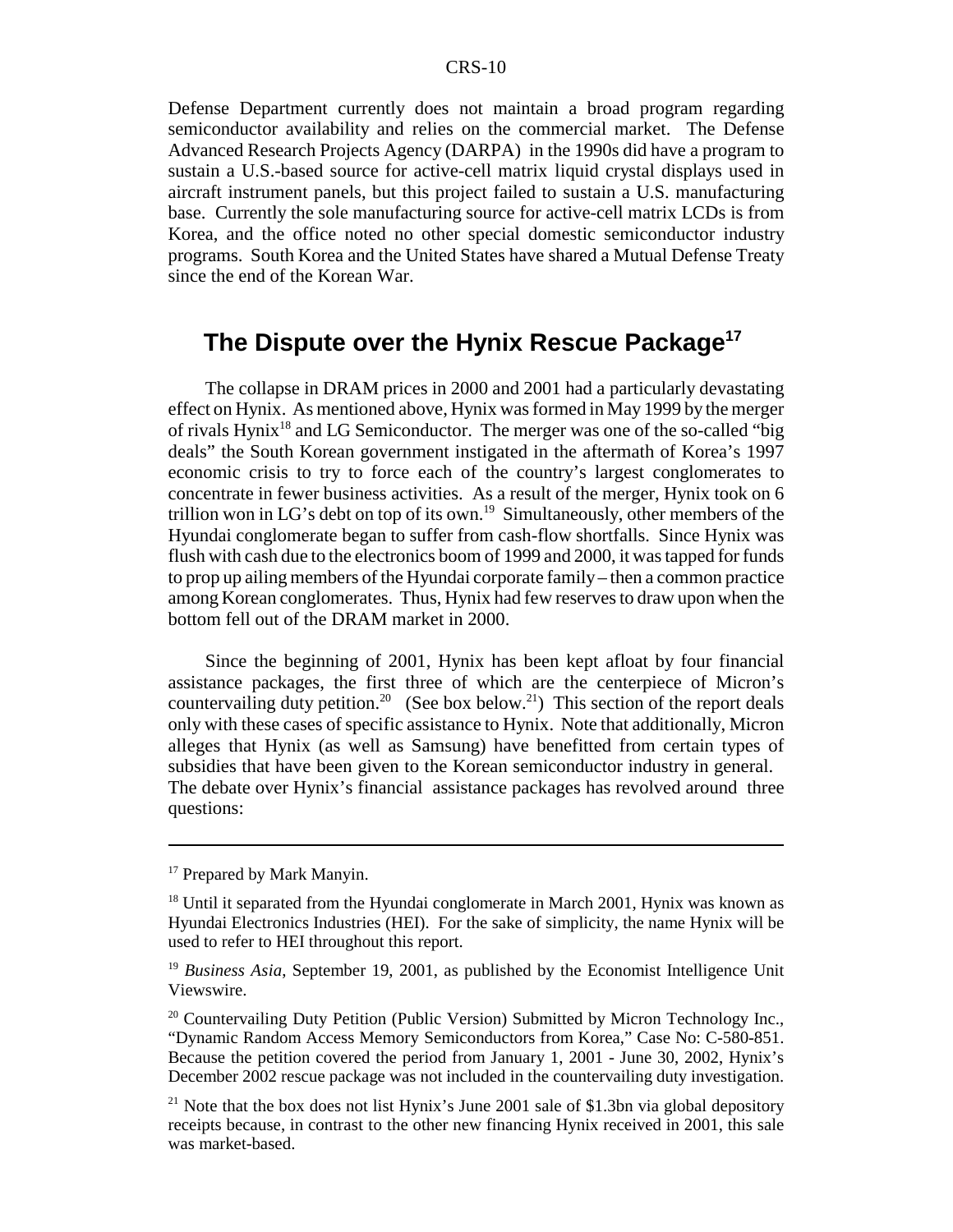Defense Department currently does not maintain a broad program regarding semiconductor availability and relies on the commercial market. The Defense Advanced Research Projects Agency (DARPA) in the 1990s did have a program to sustain a U.S.-based source for active-cell matrix liquid crystal displays used in aircraft instrument panels, but this project failed to sustain a U.S. manufacturing base. Currently the sole manufacturing source for active-cell matrix LCDs is from Korea, and the office noted no other special domestic semiconductor industry programs. South Korea and the United States have shared a Mutual Defense Treaty since the end of the Korean War.

### **The Dispute over the Hynix Rescue Package17**

The collapse in DRAM prices in 2000 and 2001 had a particularly devastating effect on Hynix. As mentioned above, Hynix was formed in May 1999 by the merger of rivals Hynix<sup>18</sup> and LG Semiconductor. The merger was one of the so-called "big deals" the South Korean government instigated in the aftermath of Korea's 1997 economic crisis to try to force each of the country's largest conglomerates to concentrate in fewer business activities. As a result of the merger, Hynix took on 6 trillion won in LG's debt on top of its own.<sup>19</sup> Simultaneously, other members of the Hyundai conglomerate began to suffer from cash-flow shortfalls. Since Hynix was flush with cash due to the electronics boom of 1999 and 2000, it was tapped for funds to prop up ailing members of the Hyundai corporate family – then a common practice among Korean conglomerates. Thus, Hynix had few reserves to draw upon when the bottom fell out of the DRAM market in 2000.

Since the beginning of 2001, Hynix has been kept afloat by four financial assistance packages, the first three of which are the centerpiece of Micron's countervailing duty petition.<sup>20</sup> (See box below.<sup>21</sup>) This section of the report deals only with these cases of specific assistance to Hynix. Note that additionally, Micron alleges that Hynix (as well as Samsung) have benefitted from certain types of subsidies that have been given to the Korean semiconductor industry in general. The debate over Hynix's financial assistance packages has revolved around three questions:

<sup>&</sup>lt;sup>17</sup> Prepared by Mark Manyin.

<sup>&</sup>lt;sup>18</sup> Until it separated from the Hyundai conglomerate in March 2001, Hynix was known as Hyundai Electronics Industries (HEI). For the sake of simplicity, the name Hynix will be used to refer to HEI throughout this report.

<sup>19</sup> *Business Asia*, September 19, 2001, as published by the Economist Intelligence Unit Viewswire.

<sup>&</sup>lt;sup>20</sup> Countervailing Duty Petition (Public Version) Submitted by Micron Technology Inc., "Dynamic Random Access Memory Semiconductors from Korea," Case No: C-580-851. Because the petition covered the period from January 1, 2001 - June 30, 2002, Hynix's December 2002 rescue package was not included in the countervailing duty investigation.

<sup>&</sup>lt;sup>21</sup> Note that the box does not list Hynix's June 2001 sale of \$1.3bn via global depository receipts because, in contrast to the other new financing Hynix received in 2001, this sale was market-based.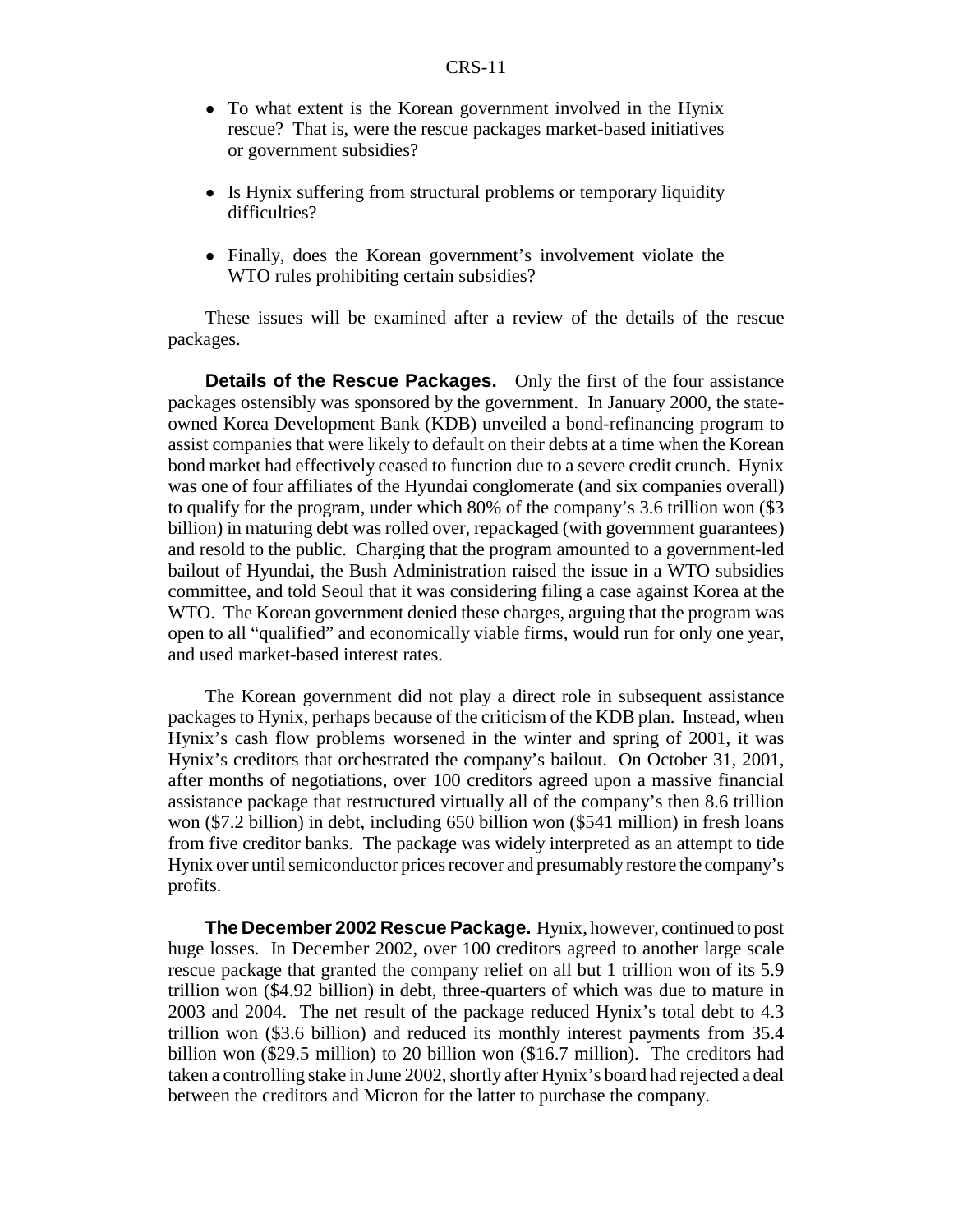- To what extent is the Korean government involved in the Hynix rescue? That is, were the rescue packages market-based initiatives or government subsidies?
- Is Hynix suffering from structural problems or temporary liquidity difficulties?
- Finally, does the Korean government's involvement violate the WTO rules prohibiting certain subsidies?

These issues will be examined after a review of the details of the rescue packages.

**Details of the Rescue Packages.** Only the first of the four assistance packages ostensibly was sponsored by the government. In January 2000, the stateowned Korea Development Bank (KDB) unveiled a bond-refinancing program to assist companies that were likely to default on their debts at a time when the Korean bond market had effectively ceased to function due to a severe credit crunch. Hynix was one of four affiliates of the Hyundai conglomerate (and six companies overall) to qualify for the program, under which 80% of the company's 3.6 trillion won (\$3 billion) in maturing debt was rolled over, repackaged (with government guarantees) and resold to the public. Charging that the program amounted to a government-led bailout of Hyundai, the Bush Administration raised the issue in a WTO subsidies committee, and told Seoul that it was considering filing a case against Korea at the WTO. The Korean government denied these charges, arguing that the program was open to all "qualified" and economically viable firms, would run for only one year, and used market-based interest rates.

The Korean government did not play a direct role in subsequent assistance packages to Hynix, perhaps because of the criticism of the KDB plan. Instead, when Hynix's cash flow problems worsened in the winter and spring of 2001, it was Hynix's creditors that orchestrated the company's bailout. On October 31, 2001, after months of negotiations, over 100 creditors agreed upon a massive financial assistance package that restructured virtually all of the company's then 8.6 trillion won (\$7.2 billion) in debt, including 650 billion won (\$541 million) in fresh loans from five creditor banks. The package was widely interpreted as an attempt to tide Hynix over until semiconductor prices recover and presumably restore the company's profits.

**The December 2002 Rescue Package.** Hynix, however, continued to post huge losses. In December 2002, over 100 creditors agreed to another large scale rescue package that granted the company relief on all but 1 trillion won of its 5.9 trillion won (\$4.92 billion) in debt, three-quarters of which was due to mature in 2003 and 2004. The net result of the package reduced Hynix's total debt to 4.3 trillion won (\$3.6 billion) and reduced its monthly interest payments from 35.4 billion won (\$29.5 million) to 20 billion won (\$16.7 million). The creditors had taken a controlling stake in June 2002, shortly after Hynix's board had rejected a deal between the creditors and Micron for the latter to purchase the company.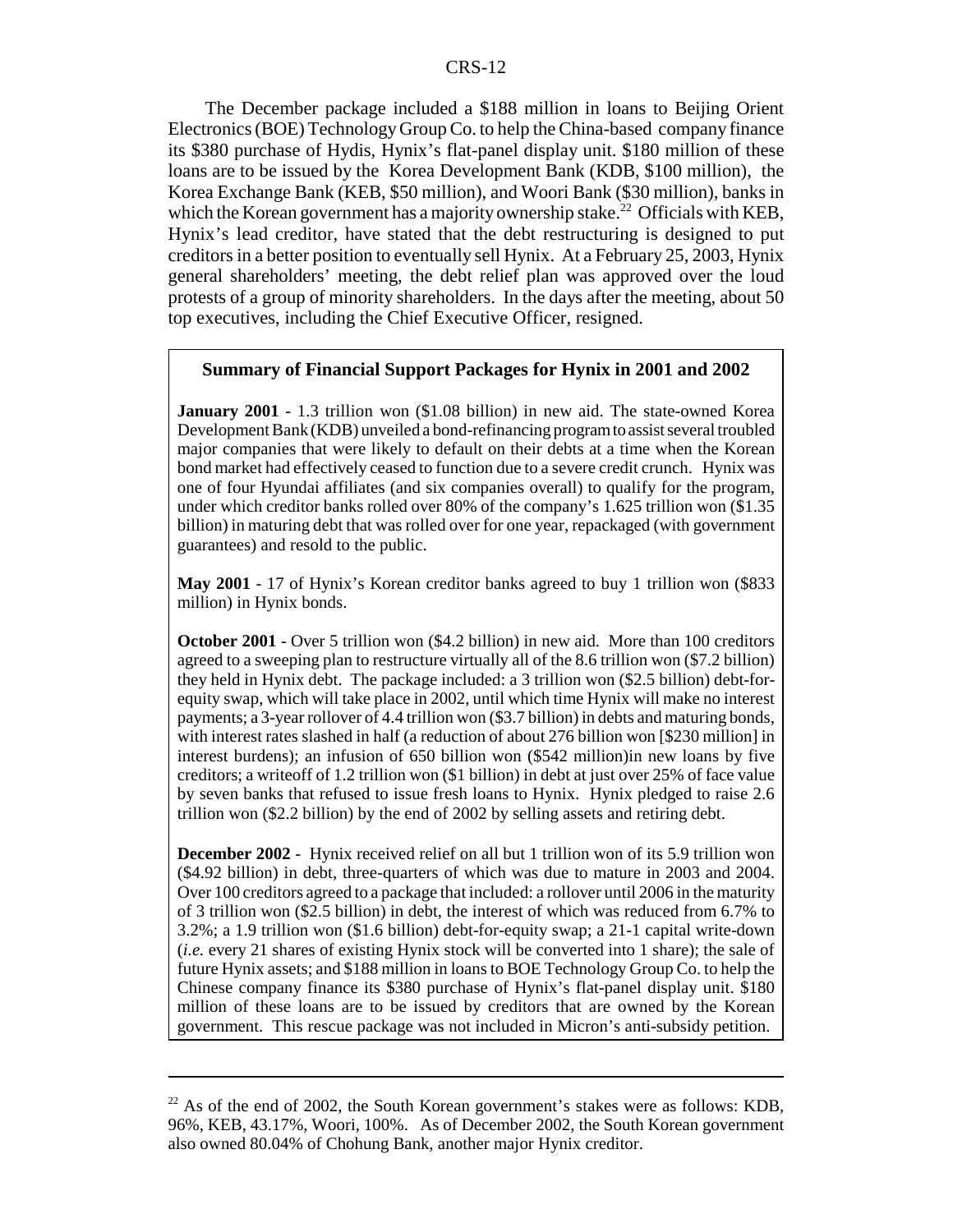The December package included a \$188 million in loans to Beijing Orient Electronics (BOE) Technology Group Co. to help the China-based company finance its \$380 purchase of Hydis, Hynix's flat-panel display unit. \$180 million of these loans are to be issued by the Korea Development Bank (KDB, \$100 million), the Korea Exchange Bank (KEB, \$50 million), and Woori Bank (\$30 million), banks in which the Korean government has a majority ownership stake.<sup>22</sup> Officials with KEB, Hynix's lead creditor, have stated that the debt restructuring is designed to put creditors in a better position to eventually sell Hynix. At a February 25, 2003, Hynix general shareholders' meeting, the debt relief plan was approved over the loud protests of a group of minority shareholders. In the days after the meeting, about 50 top executives, including the Chief Executive Officer, resigned.

#### **Summary of Financial Support Packages for Hynix in 2001 and 2002**

**January 2001** - 1.3 trillion won (\$1.08 billion) in new aid. The state-owned Korea Development Bank (KDB) unveiled a bond-refinancing program to assist several troubled major companies that were likely to default on their debts at a time when the Korean bond market had effectively ceased to function due to a severe credit crunch. Hynix was one of four Hyundai affiliates (and six companies overall) to qualify for the program, under which creditor banks rolled over 80% of the company's 1.625 trillion won (\$1.35 billion) in maturing debt that was rolled over for one year, repackaged (with government guarantees) and resold to the public.

**May 2001** - 17 of Hynix's Korean creditor banks agreed to buy 1 trillion won (\$833 million) in Hynix bonds.

**October 2001** - Over 5 trillion won (\$4.2 billion) in new aid. More than 100 creditors agreed to a sweeping plan to restructure virtually all of the 8.6 trillion won (\$7.2 billion) they held in Hynix debt. The package included: a 3 trillion won (\$2.5 billion) debt-forequity swap, which will take place in 2002, until which time Hynix will make no interest payments; a 3-year rollover of 4.4 trillion won (\$3.7 billion) in debts and maturing bonds, with interest rates slashed in half (a reduction of about 276 billion won [\$230 million] in interest burdens); an infusion of 650 billion won (\$542 million)in new loans by five creditors; a writeoff of 1.2 trillion won (\$1 billion) in debt at just over 25% of face value by seven banks that refused to issue fresh loans to Hynix. Hynix pledged to raise 2.6 trillion won (\$2.2 billion) by the end of 2002 by selling assets and retiring debt.

**December 2002** - Hynix received relief on all but 1 trillion won of its 5.9 trillion won (\$4.92 billion) in debt, three-quarters of which was due to mature in 2003 and 2004. Over 100 creditors agreed to a package that included: a rollover until 2006 in the maturity of 3 trillion won (\$2.5 billion) in debt, the interest of which was reduced from 6.7% to 3.2%; a 1.9 trillion won (\$1.6 billion) debt-for-equity swap; a 21-1 capital write-down (*i.e.* every 21 shares of existing Hynix stock will be converted into 1 share); the sale of future Hynix assets; and \$188 million in loans to BOE Technology Group Co. to help the Chinese company finance its \$380 purchase of Hynix's flat-panel display unit. \$180 million of these loans are to be issued by creditors that are owned by the Korean government. This rescue package was not included in Micron's anti-subsidy petition.

 $22$  As of the end of 2002, the South Korean government's stakes were as follows: KDB, 96%, KEB, 43.17%, Woori, 100%. As of December 2002, the South Korean government also owned 80.04% of Chohung Bank, another major Hynix creditor.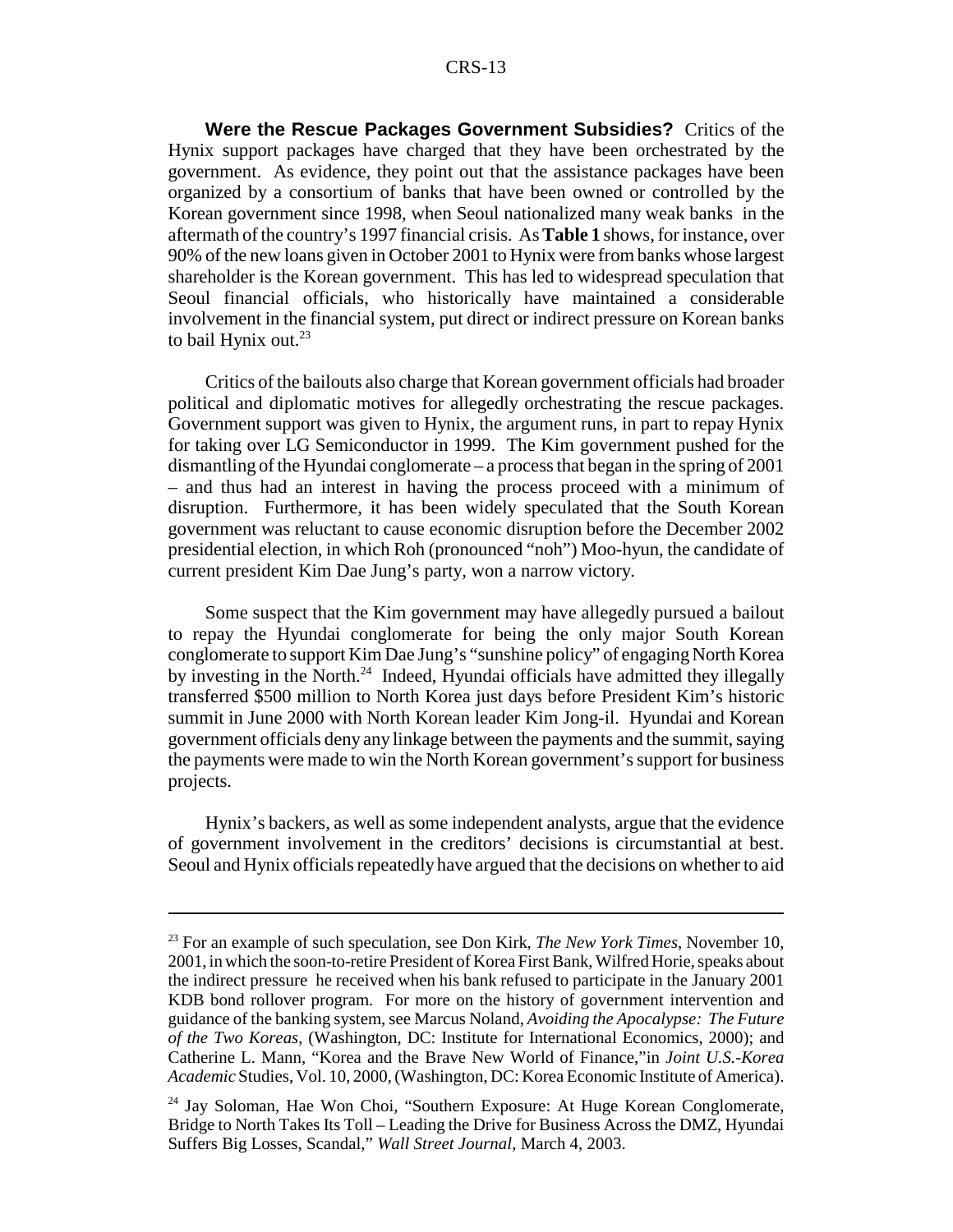**Were the Rescue Packages Government Subsidies?** Critics of the Hynix support packages have charged that they have been orchestrated by the government. As evidence, they point out that the assistance packages have been organized by a consortium of banks that have been owned or controlled by the Korean government since 1998, when Seoul nationalized many weak banks in the aftermath of the country's 1997 financial crisis. As **Table 1** shows, for instance, over 90% of the new loans given in October 2001 to Hynix were from banks whose largest shareholder is the Korean government. This has led to widespread speculation that Seoul financial officials, who historically have maintained a considerable involvement in the financial system, put direct or indirect pressure on Korean banks to bail Hynix out. $^{23}$ 

Critics of the bailouts also charge that Korean government officials had broader political and diplomatic motives for allegedly orchestrating the rescue packages. Government support was given to Hynix, the argument runs, in part to repay Hynix for taking over LG Semiconductor in 1999. The Kim government pushed for the dismantling of the Hyundai conglomerate – a process that began in the spring of 2001 – and thus had an interest in having the process proceed with a minimum of disruption. Furthermore, it has been widely speculated that the South Korean government was reluctant to cause economic disruption before the December 2002 presidential election, in which Roh (pronounced "noh") Moo-hyun, the candidate of current president Kim Dae Jung's party, won a narrow victory.

Some suspect that the Kim government may have allegedly pursued a bailout to repay the Hyundai conglomerate for being the only major South Korean conglomerate to support Kim Dae Jung's "sunshine policy" of engaging North Korea by investing in the North. $^{24}$  Indeed, Hyundai officials have admitted they illegally transferred \$500 million to North Korea just days before President Kim's historic summit in June 2000 with North Korean leader Kim Jong-il. Hyundai and Korean government officials deny any linkage between the payments and the summit, saying the payments were made to win the North Korean government's support for business projects.

Hynix's backers, as well as some independent analysts, argue that the evidence of government involvement in the creditors' decisions is circumstantial at best. Seoul and Hynix officials repeatedly have argued that the decisions on whether to aid

<sup>23</sup> For an example of such speculation, see Don Kirk, *The New York Times*, November 10, 2001, in which the soon-to-retire President of Korea First Bank, Wilfred Horie, speaks about the indirect pressure he received when his bank refused to participate in the January 2001 KDB bond rollover program. For more on the history of government intervention and guidance of the banking system, see Marcus Noland, *Avoiding the Apocalypse: The Future of the Two Koreas*, (Washington, DC: Institute for International Economics, 2000); and Catherine L. Mann, "Korea and the Brave New World of Finance,"in *Joint U.S.-Korea Academic* Studies, Vol. 10, 2000, (Washington, DC: Korea Economic Institute of America).

<sup>24</sup> Jay Soloman, Hae Won Choi, "Southern Exposure: At Huge Korean Conglomerate, Bridge to North Takes Its Toll – Leading the Drive for Business Across the DMZ, Hyundai Suffers Big Losses, Scandal," *Wall Street Journal*, March 4, 2003.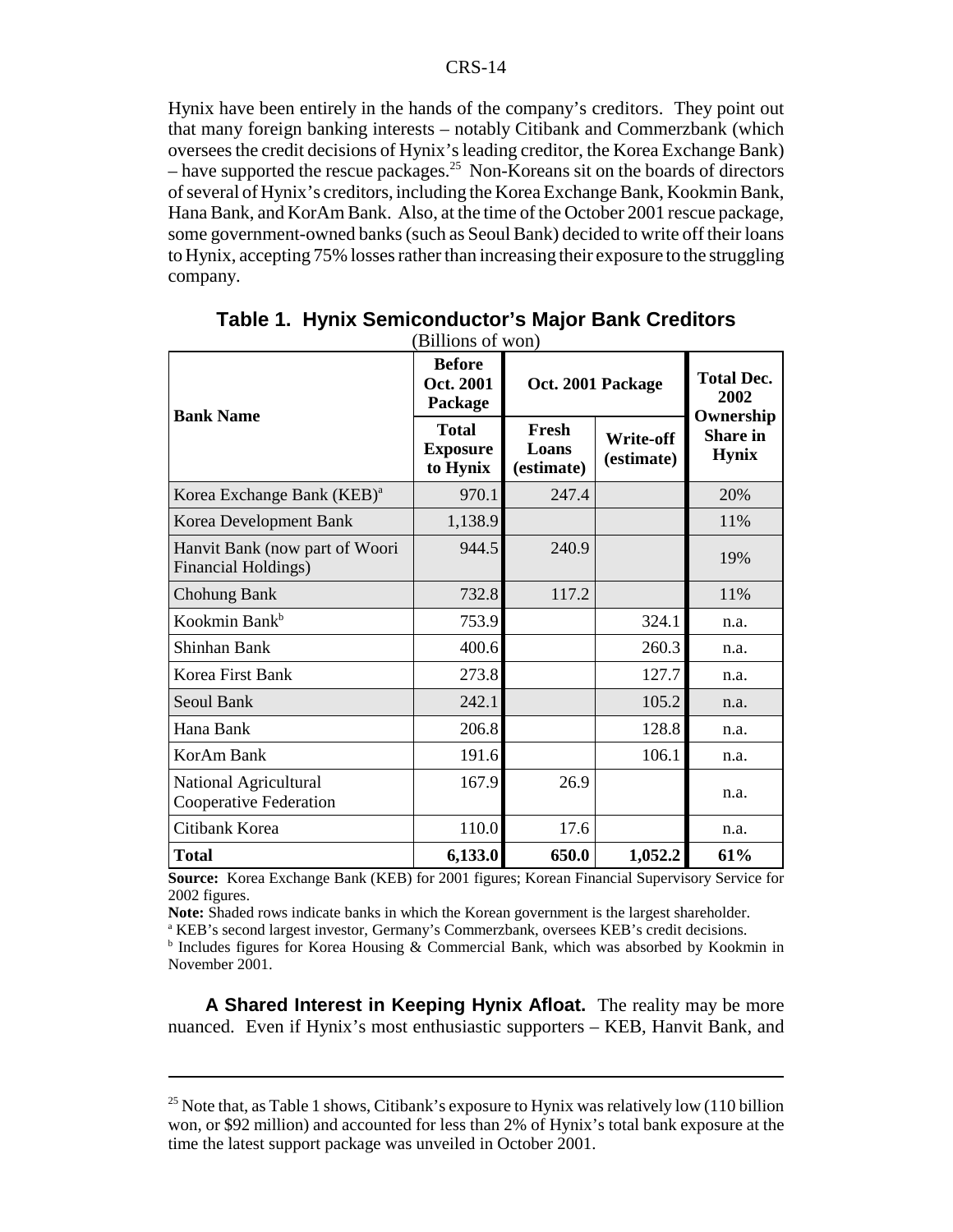Hynix have been entirely in the hands of the company's creditors. They point out that many foreign banking interests – notably Citibank and Commerzbank (which oversees the credit decisions of Hynix's leading creditor, the Korea Exchange Bank)  $-$  have supported the rescue packages.<sup>25</sup> Non-Koreans sit on the boards of directors of several of Hynix's creditors, including the Korea Exchange Bank, Kookmin Bank, Hana Bank, and KorAm Bank. Also, at the time of the October 2001 rescue package, some government-owned banks (such as Seoul Bank) decided to write off their loans to Hynix, accepting 75% losses rather than increasing their exposure to the struggling company.

|                                                              | <b>Before</b><br>Oct. 2001<br>Package       | Oct. 2001 Package            |                                | <b>Total Dec.</b><br>2002                    |
|--------------------------------------------------------------|---------------------------------------------|------------------------------|--------------------------------|----------------------------------------------|
| <b>Bank Name</b>                                             | <b>Total</b><br><b>Exposure</b><br>to Hynix | Fresh<br>Loans<br>(estimate) | <b>Write-off</b><br>(estimate) | Ownership<br><b>Share in</b><br><b>Hynix</b> |
| Korea Exchange Bank (KEB) <sup>a</sup>                       | 970.1                                       | 247.4                        |                                | 20%                                          |
| Korea Development Bank                                       | 1,138.9                                     |                              |                                | 11%                                          |
| Hanvit Bank (now part of Woori<br><b>Financial Holdings)</b> | 944.5                                       | 240.9                        |                                | 19%                                          |
| <b>Chohung Bank</b>                                          | 732.8                                       | 117.2                        |                                | 11%                                          |
| Kookmin Bank <sup>b</sup>                                    | 753.9                                       |                              | 324.1                          | n.a.                                         |
| Shinhan Bank                                                 | 400.6                                       |                              | 260.3                          | n.a.                                         |
| Korea First Bank                                             | 273.8                                       |                              | 127.7                          | n.a.                                         |
| Seoul Bank                                                   | 242.1                                       |                              | 105.2                          | n.a.                                         |
| Hana Bank                                                    | 206.8                                       |                              | 128.8                          | n.a.                                         |
| KorAm Bank                                                   | 191.6                                       |                              | 106.1                          | n.a.                                         |
| National Agricultural<br>Cooperative Federation              | 167.9                                       | 26.9                         |                                | n.a.                                         |
| Citibank Korea                                               | 110.0                                       | 17.6                         |                                | n.a.                                         |
| <b>Total</b>                                                 | 6,133.0                                     | 650.0                        | 1,052.2                        | 61%                                          |

| Table 1. Hynix Semiconductor's Major Bank Creditors |
|-----------------------------------------------------|
| (Billions of won)                                   |

**Source:** Korea Exchange Bank (KEB) for 2001 figures; Korean Financial Supervisory Service for 2002 figures.

**Note:** Shaded rows indicate banks in which the Korean government is the largest shareholder.

<sup>a</sup> KEB's second largest investor, Germany's Commerzbank, oversees KEB's credit decisions.

<sup>b</sup> Includes figures for Korea Housing & Commercial Bank, which was absorbed by Kookmin in November 2001.

**A Shared Interest in Keeping Hynix Afloat.** The reality may be more nuanced. Even if Hynix's most enthusiastic supporters – KEB, Hanvit Bank, and

<sup>&</sup>lt;sup>25</sup> Note that, as Table 1 shows, Citibank's exposure to Hynix was relatively low (110 billion won, or \$92 million) and accounted for less than 2% of Hynix's total bank exposure at the time the latest support package was unveiled in October 2001.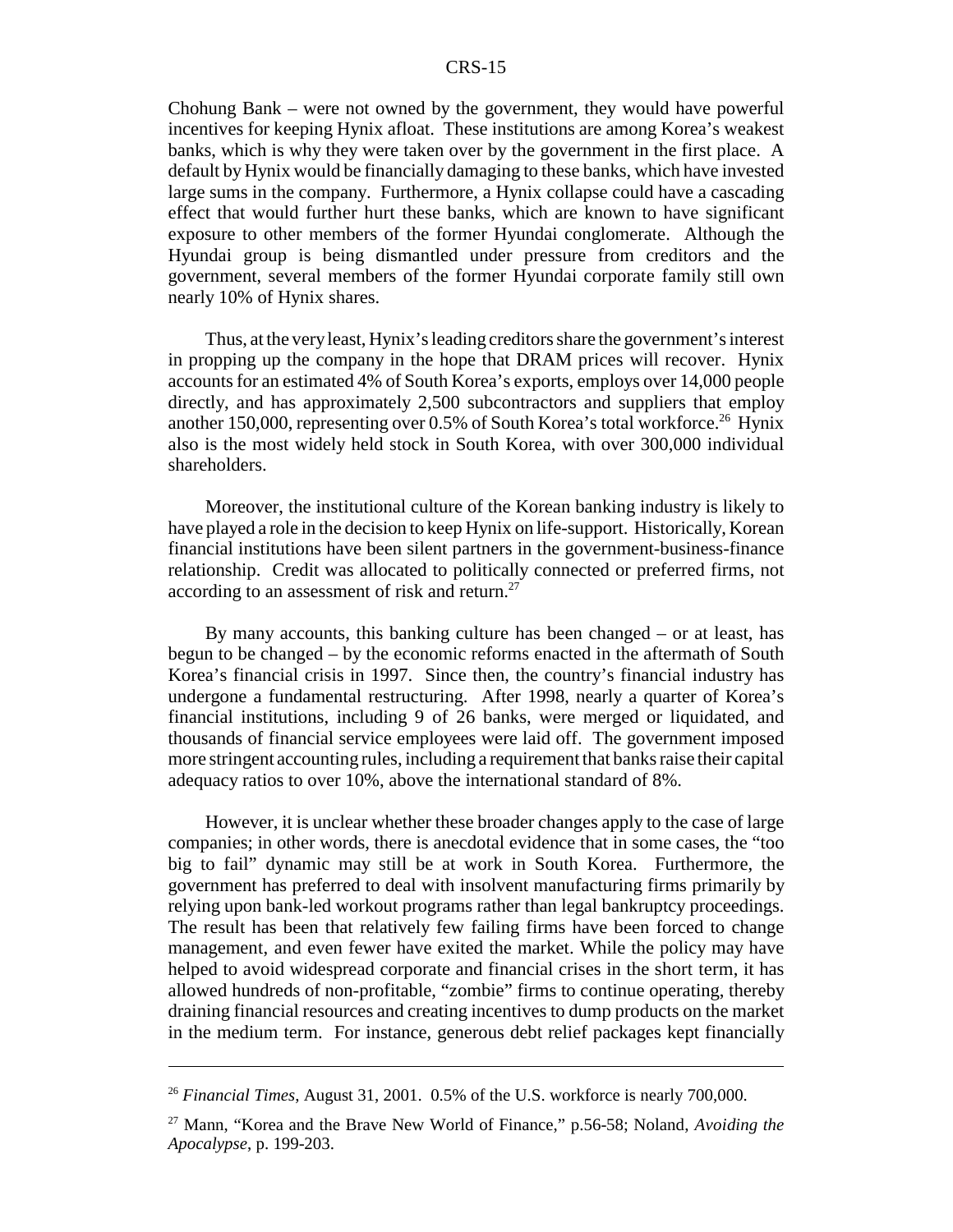Chohung Bank – were not owned by the government, they would have powerful incentives for keeping Hynix afloat. These institutions are among Korea's weakest banks, which is why they were taken over by the government in the first place. A default by Hynix would be financially damaging to these banks, which have invested large sums in the company. Furthermore, a Hynix collapse could have a cascading effect that would further hurt these banks, which are known to have significant exposure to other members of the former Hyundai conglomerate. Although the Hyundai group is being dismantled under pressure from creditors and the government, several members of the former Hyundai corporate family still own nearly 10% of Hynix shares.

Thus, at the very least, Hynix's leading creditors share the government's interest in propping up the company in the hope that DRAM prices will recover. Hynix accounts for an estimated 4% of South Korea's exports, employs over 14,000 people directly, and has approximately 2,500 subcontractors and suppliers that employ another 150,000, representing over 0.5% of South Korea's total workforce.<sup>26</sup> Hynix also is the most widely held stock in South Korea, with over 300,000 individual shareholders.

Moreover, the institutional culture of the Korean banking industry is likely to have played a role in the decision to keep Hynix on life-support. Historically, Korean financial institutions have been silent partners in the government-business-finance relationship. Credit was allocated to politically connected or preferred firms, not according to an assessment of risk and return.<sup>27</sup>

By many accounts, this banking culture has been changed – or at least, has begun to be changed – by the economic reforms enacted in the aftermath of South Korea's financial crisis in 1997. Since then, the country's financial industry has undergone a fundamental restructuring. After 1998, nearly a quarter of Korea's financial institutions, including 9 of 26 banks, were merged or liquidated, and thousands of financial service employees were laid off. The government imposed more stringent accounting rules, including a requirement that banks raise their capital adequacy ratios to over 10%, above the international standard of 8%.

However, it is unclear whether these broader changes apply to the case of large companies; in other words, there is anecdotal evidence that in some cases, the "too big to fail" dynamic may still be at work in South Korea. Furthermore, the government has preferred to deal with insolvent manufacturing firms primarily by relying upon bank-led workout programs rather than legal bankruptcy proceedings. The result has been that relatively few failing firms have been forced to change management, and even fewer have exited the market. While the policy may have helped to avoid widespread corporate and financial crises in the short term, it has allowed hundreds of non-profitable, "zombie" firms to continue operating, thereby draining financial resources and creating incentives to dump products on the market in the medium term. For instance, generous debt relief packages kept financially

<sup>26</sup> *Financial Times*, August 31, 2001. 0.5% of the U.S. workforce is nearly 700,000.

<sup>27</sup> Mann, "Korea and the Brave New World of Finance," p.56-58; Noland, *Avoiding the Apocalypse*, p. 199-203.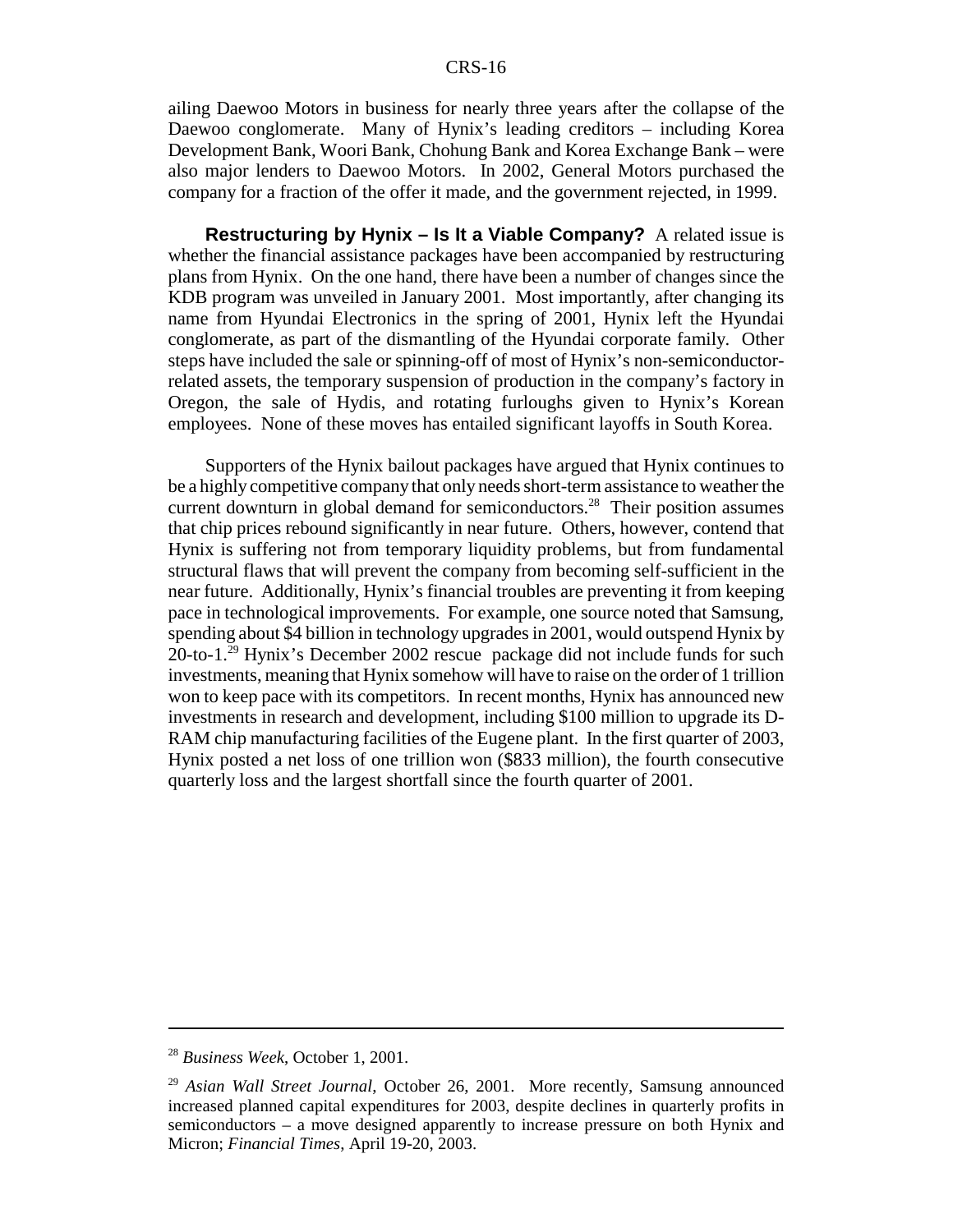ailing Daewoo Motors in business for nearly three years after the collapse of the Daewoo conglomerate. Many of Hynix's leading creditors – including Korea Development Bank, Woori Bank, Chohung Bank and Korea Exchange Bank – were also major lenders to Daewoo Motors. In 2002, General Motors purchased the company for a fraction of the offer it made, and the government rejected, in 1999.

**Restructuring by Hynix – Is It a Viable Company?** A related issue is whether the financial assistance packages have been accompanied by restructuring plans from Hynix. On the one hand, there have been a number of changes since the KDB program was unveiled in January 2001. Most importantly, after changing its name from Hyundai Electronics in the spring of 2001, Hynix left the Hyundai conglomerate, as part of the dismantling of the Hyundai corporate family. Other steps have included the sale or spinning-off of most of Hynix's non-semiconductorrelated assets, the temporary suspension of production in the company's factory in Oregon, the sale of Hydis, and rotating furloughs given to Hynix's Korean employees. None of these moves has entailed significant layoffs in South Korea.

Supporters of the Hynix bailout packages have argued that Hynix continues to be a highly competitive company that only needs short-term assistance to weather the current downturn in global demand for semiconductors.<sup>28</sup> Their position assumes that chip prices rebound significantly in near future. Others, however, contend that Hynix is suffering not from temporary liquidity problems, but from fundamental structural flaws that will prevent the company from becoming self-sufficient in the near future. Additionally, Hynix's financial troubles are preventing it from keeping pace in technological improvements. For example, one source noted that Samsung, spending about \$4 billion in technology upgrades in 2001, would outspend Hynix by 20-to-1.<sup>29</sup> Hynix's December 2002 rescue package did not include funds for such investments, meaning that Hynix somehow will have to raise on the order of 1 trillion won to keep pace with its competitors. In recent months, Hynix has announced new investments in research and development, including \$100 million to upgrade its D-RAM chip manufacturing facilities of the Eugene plant. In the first quarter of 2003, Hynix posted a net loss of one trillion won (\$833 million), the fourth consecutive quarterly loss and the largest shortfall since the fourth quarter of 2001.

<sup>28</sup> *Business Week*, October 1, 2001.

<sup>29</sup> *Asian Wall Street Journal*, October 26, 2001. More recently, Samsung announced increased planned capital expenditures for 2003, despite declines in quarterly profits in semiconductors – a move designed apparently to increase pressure on both Hynix and Micron; *Financial Times*, April 19-20, 2003.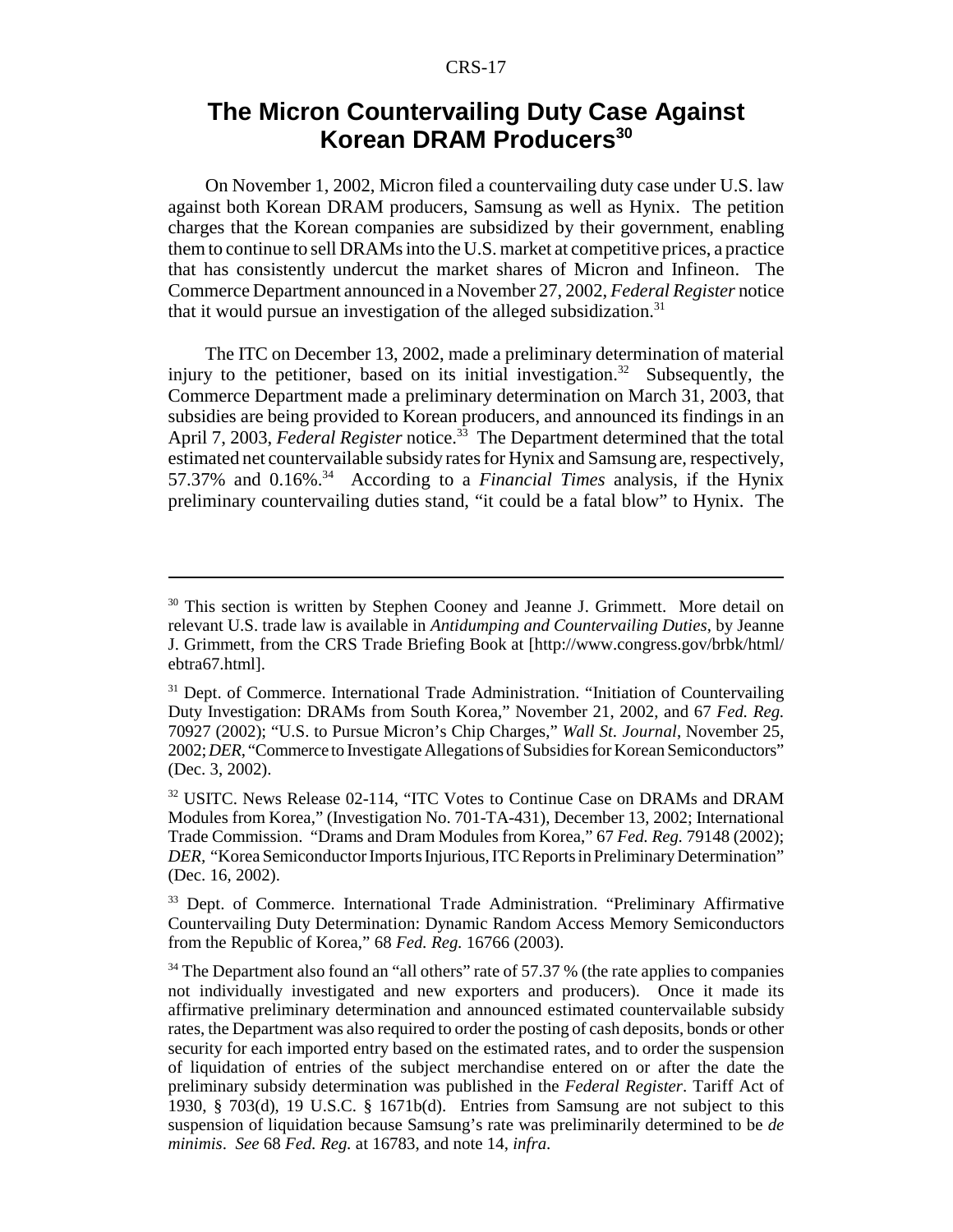## **The Micron Countervailing Duty Case Against Korean DRAM Producers<sup>30</sup>**

On November 1, 2002, Micron filed a countervailing duty case under U.S. law against both Korean DRAM producers, Samsung as well as Hynix. The petition charges that the Korean companies are subsidized by their government, enabling them to continue to sell DRAMs into the U.S. market at competitive prices, a practice that has consistently undercut the market shares of Micron and Infineon. The Commerce Department announced in a November 27, 2002, *Federal Register* notice that it would pursue an investigation of the alleged subsidization.<sup>31</sup>

The ITC on December 13, 2002, made a preliminary determination of material injury to the petitioner, based on its initial investigation.<sup>32</sup> Subsequently, the Commerce Department made a preliminary determination on March 31, 2003, that subsidies are being provided to Korean producers, and announced its findings in an April 7, 2003, *Federal Register* notice.<sup>33</sup> The Department determined that the total estimated net countervailable subsidy rates for Hynix and Samsung are, respectively, 57.37% and 0.16%.34 According to a *Financial Times* analysis, if the Hynix preliminary countervailing duties stand, "it could be a fatal blow" to Hynix. The

<sup>&</sup>lt;sup>30</sup> This section is written by Stephen Cooney and Jeanne J. Grimmett. More detail on relevant U.S. trade law is available in *Antidumping and Countervailing Duties*, by Jeanne J. Grimmett, from the CRS Trade Briefing Book at [http://www.congress.gov/brbk/html/ ebtra67.html].

<sup>&</sup>lt;sup>31</sup> Dept. of Commerce. International Trade Administration. "Initiation of Countervailing Duty Investigation: DRAMs from South Korea," November 21, 2002, and 67 *Fed. Reg.* 70927 (2002); "U.S. to Pursue Micron's Chip Charges," *Wall St. Journal*, November 25, 2002; *DER*, "Commerce to Investigate Allegations of Subsidies for Korean Semiconductors" (Dec. 3, 2002).

<sup>&</sup>lt;sup>32</sup> USITC. News Release 02-114, "ITC Votes to Continue Case on DRAMs and DRAM Modules from Korea," (Investigation No. 701-TA-431), December 13, 2002; International Trade Commission. "Drams and Dram Modules from Korea," 67 *Fed. Reg.* 79148 (2002); *DER,* "Korea Semiconductor Imports Injurious, ITC Reports in Preliminary Determination" (Dec. 16, 2002).

<sup>&</sup>lt;sup>33</sup> Dept. of Commerce. International Trade Administration. "Preliminary Affirmative Countervailing Duty Determination: Dynamic Random Access Memory Semiconductors from the Republic of Korea," 68 *Fed. Reg.* 16766 (2003).

<sup>&</sup>lt;sup>34</sup> The Department also found an "all others" rate of 57.37 % (the rate applies to companies not individually investigated and new exporters and producers). Once it made its affirmative preliminary determination and announced estimated countervailable subsidy rates, the Department was also required to order the posting of cash deposits, bonds or other security for each imported entry based on the estimated rates, and to order the suspension of liquidation of entries of the subject merchandise entered on or after the date the preliminary subsidy determination was published in the *Federal Register*. Tariff Act of 1930, § 703(d), 19 U.S.C. § 1671b(d). Entries from Samsung are not subject to this suspension of liquidation because Samsung's rate was preliminarily determined to be *de minimis*. *See* 68 *Fed. Reg.* at 16783, and note 14, *infra*.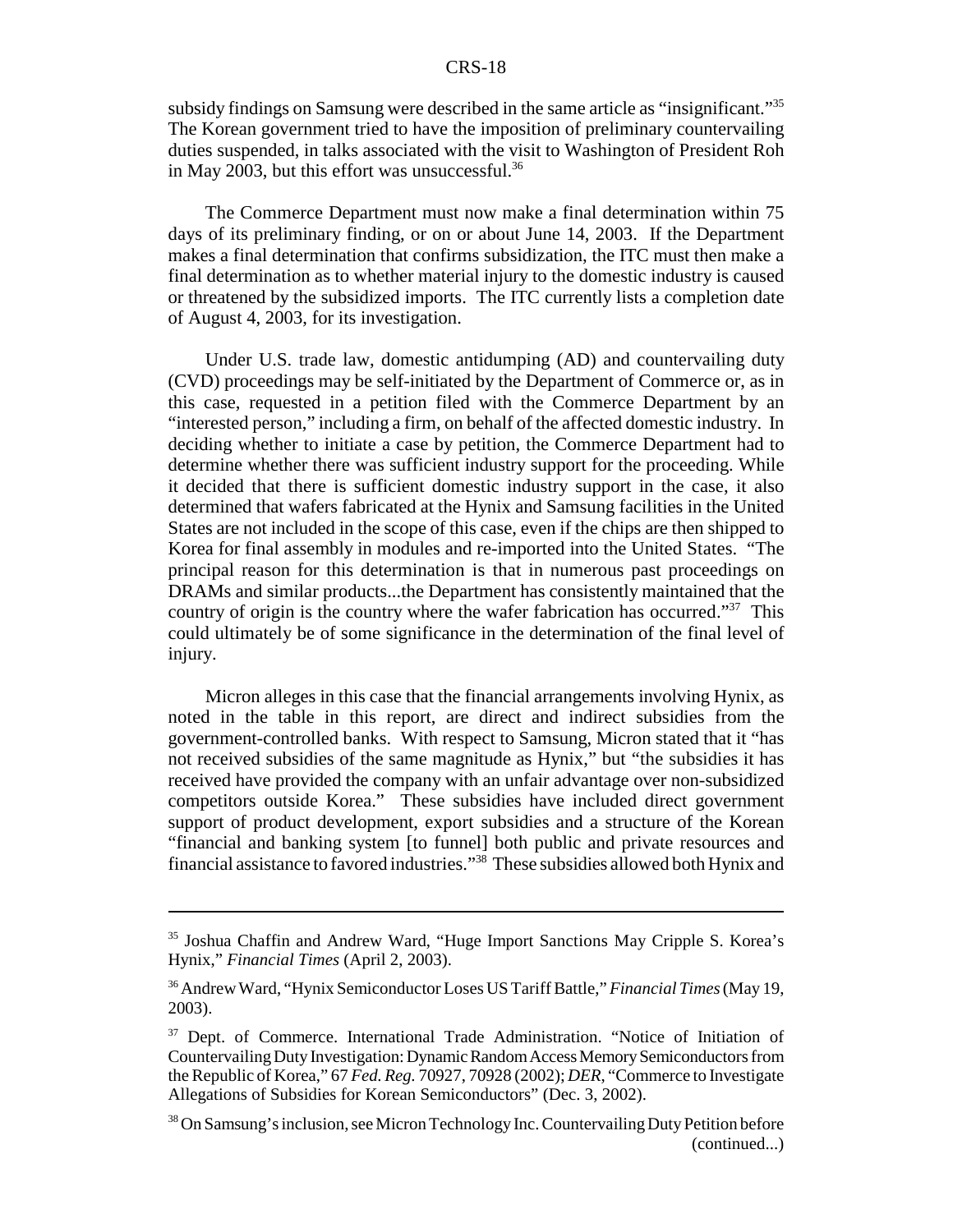subsidy findings on Samsung were described in the same article as "insignificant."<sup>35</sup> The Korean government tried to have the imposition of preliminary countervailing duties suspended, in talks associated with the visit to Washington of President Roh in May 2003, but this effort was unsuccessful.<sup>36</sup>

The Commerce Department must now make a final determination within 75 days of its preliminary finding, or on or about June 14, 2003. If the Department makes a final determination that confirms subsidization, the ITC must then make a final determination as to whether material injury to the domestic industry is caused or threatened by the subsidized imports. The ITC currently lists a completion date of August 4, 2003, for its investigation.

Under U.S. trade law, domestic antidumping (AD) and countervailing duty (CVD) proceedings may be self-initiated by the Department of Commerce or, as in this case, requested in a petition filed with the Commerce Department by an "interested person," including a firm, on behalf of the affected domestic industry. In deciding whether to initiate a case by petition, the Commerce Department had to determine whether there was sufficient industry support for the proceeding. While it decided that there is sufficient domestic industry support in the case, it also determined that wafers fabricated at the Hynix and Samsung facilities in the United States are not included in the scope of this case, even if the chips are then shipped to Korea for final assembly in modules and re-imported into the United States. "The principal reason for this determination is that in numerous past proceedings on DRAMs and similar products...the Department has consistently maintained that the country of origin is the country where the wafer fabrication has occurred."<sup>37</sup> This could ultimately be of some significance in the determination of the final level of injury.

Micron alleges in this case that the financial arrangements involving Hynix, as noted in the table in this report, are direct and indirect subsidies from the government-controlled banks. With respect to Samsung, Micron stated that it "has not received subsidies of the same magnitude as Hynix," but "the subsidies it has received have provided the company with an unfair advantage over non-subsidized competitors outside Korea." These subsidies have included direct government support of product development, export subsidies and a structure of the Korean "financial and banking system [to funnel] both public and private resources and financial assistance to favored industries."38 These subsidies allowed both Hynix and

<sup>35</sup> Joshua Chaffin and Andrew Ward, "Huge Import Sanctions May Cripple S. Korea's Hynix," *Financial Times* (April 2, 2003).

<sup>36</sup> Andrew Ward, "Hynix Semiconductor Loses US Tariff Battle," *Financial Times* (May 19, 2003).

<sup>&</sup>lt;sup>37</sup> Dept. of Commerce. International Trade Administration. "Notice of Initiation of Countervailing Duty Investigation: Dynamic Random Access Memory Semiconductors from the Republic of Korea," 67 *Fed. Reg.* 70927, 70928 (2002); *DER*, "Commerce to Investigate Allegations of Subsidies for Korean Semiconductors" (Dec. 3, 2002).

<sup>&</sup>lt;sup>38</sup> On Samsung's inclusion, see Micron Technology Inc. Countervailing Duty Petition before (continued...)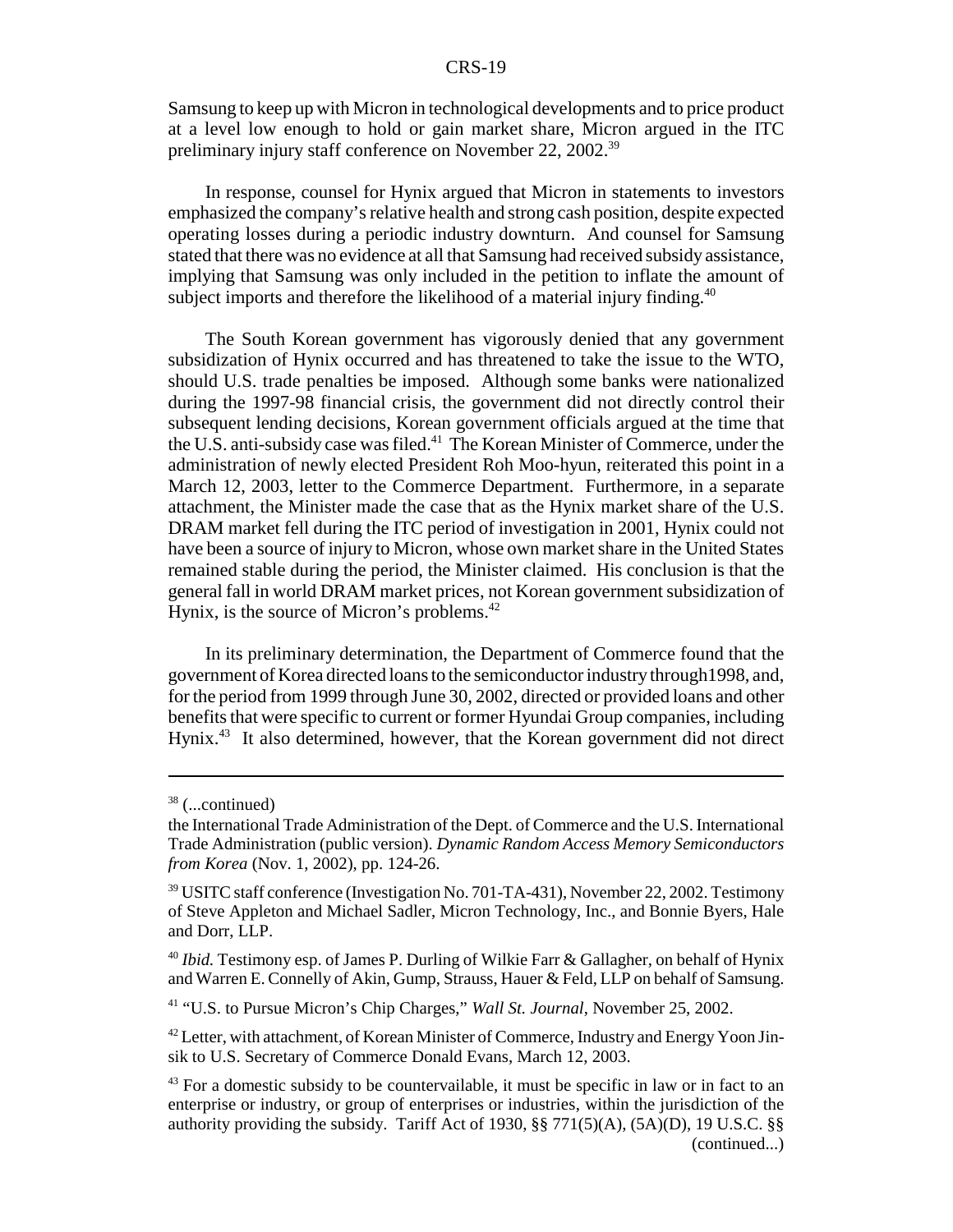Samsung to keep up with Micron in technological developments and to price product at a level low enough to hold or gain market share, Micron argued in the ITC preliminary injury staff conference on November 22, 2002.39

In response, counsel for Hynix argued that Micron in statements to investors emphasized the company's relative health and strong cash position, despite expected operating losses during a periodic industry downturn. And counsel for Samsung stated that there was no evidence at all that Samsung had received subsidy assistance, implying that Samsung was only included in the petition to inflate the amount of subject imports and therefore the likelihood of a material injury finding.<sup>40</sup>

The South Korean government has vigorously denied that any government subsidization of Hynix occurred and has threatened to take the issue to the WTO, should U.S. trade penalties be imposed. Although some banks were nationalized during the 1997-98 financial crisis, the government did not directly control their subsequent lending decisions, Korean government officials argued at the time that the U.S. anti-subsidy case was filed.<sup>41</sup> The Korean Minister of Commerce, under the administration of newly elected President Roh Moo-hyun, reiterated this point in a March 12, 2003, letter to the Commerce Department. Furthermore, in a separate attachment, the Minister made the case that as the Hynix market share of the U.S. DRAM market fell during the ITC period of investigation in 2001, Hynix could not have been a source of injury to Micron, whose own market share in the United States remained stable during the period, the Minister claimed. His conclusion is that the general fall in world DRAM market prices, not Korean government subsidization of Hynix, is the source of Micron's problems.<sup>42</sup>

In its preliminary determination, the Department of Commerce found that the government of Korea directed loans to the semiconductor industry through1998, and, for the period from 1999 through June 30, 2002, directed or provided loans and other benefits that were specific to current or former Hyundai Group companies, including Hynix.43 It also determined, however, that the Korean government did not direct

 $38$  (...continued)

the International Trade Administration of the Dept. of Commerce and the U.S. International Trade Administration (public version). *Dynamic Random Access Memory Semiconductors from Korea* (Nov. 1, 2002), pp. 124-26.

<sup>&</sup>lt;sup>39</sup> USITC staff conference (Investigation No. 701-TA-431), November 22, 2002. Testimony of Steve Appleton and Michael Sadler, Micron Technology, Inc., and Bonnie Byers, Hale and Dorr, LLP.

<sup>40</sup> *Ibid.* Testimony esp. of James P. Durling of Wilkie Farr & Gallagher, on behalf of Hynix and Warren E. Connelly of Akin, Gump, Strauss, Hauer & Feld, LLP on behalf of Samsung.

<sup>41 &</sup>quot;U.S. to Pursue Micron's Chip Charges," *Wall St. Journal*, November 25, 2002.

<sup>&</sup>lt;sup>42</sup> Letter, with attachment, of Korean Minister of Commerce, Industry and Energy Yoon Jinsik to U.S. Secretary of Commerce Donald Evans, March 12, 2003.

 $43$  For a domestic subsidy to be countervailable, it must be specific in law or in fact to an enterprise or industry, or group of enterprises or industries, within the jurisdiction of the authority providing the subsidy. Tariff Act of 1930, §§ 771(5)(A), (5A)(D), 19 U.S.C. §§ (continued...)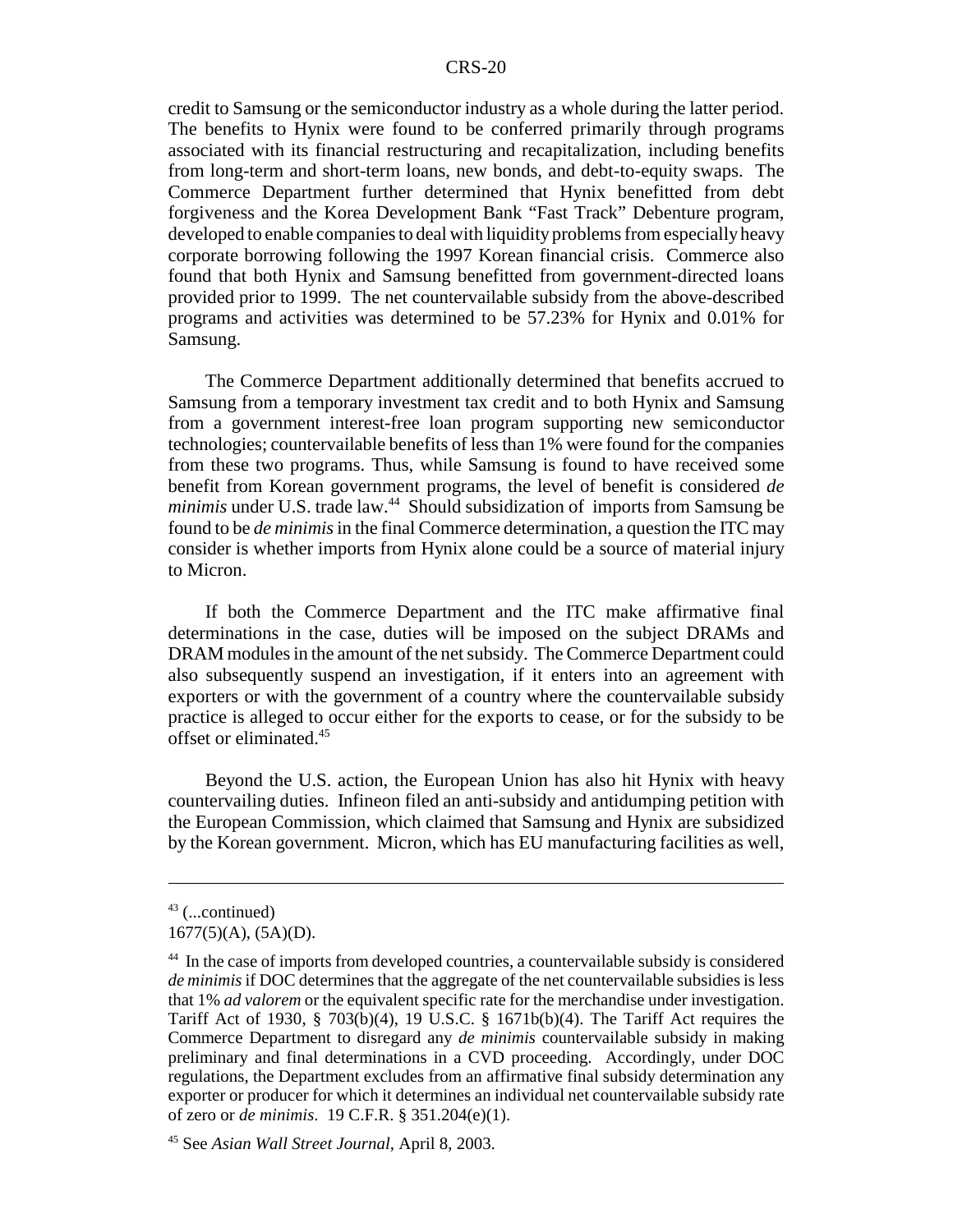credit to Samsung or the semiconductor industry as a whole during the latter period. The benefits to Hynix were found to be conferred primarily through programs associated with its financial restructuring and recapitalization, including benefits from long-term and short-term loans, new bonds, and debt-to-equity swaps. The Commerce Department further determined that Hynix benefitted from debt forgiveness and the Korea Development Bank "Fast Track" Debenture program, developed to enable companies to deal with liquidity problems from especially heavy corporate borrowing following the 1997 Korean financial crisis. Commerce also found that both Hynix and Samsung benefitted from government-directed loans provided prior to 1999. The net countervailable subsidy from the above-described programs and activities was determined to be 57.23% for Hynix and 0.01% for Samsung.

The Commerce Department additionally determined that benefits accrued to Samsung from a temporary investment tax credit and to both Hynix and Samsung from a government interest-free loan program supporting new semiconductor technologies; countervailable benefits of less than 1% were found for the companies from these two programs. Thus, while Samsung is found to have received some benefit from Korean government programs, the level of benefit is considered *de minimis* under U.S. trade law.<sup>44</sup> Should subsidization of imports from Samsung be found to be *de minimis* in the final Commerce determination, a question the ITC may consider is whether imports from Hynix alone could be a source of material injury to Micron.

If both the Commerce Department and the ITC make affirmative final determinations in the case, duties will be imposed on the subject DRAMs and DRAM modules in the amount of the net subsidy. The Commerce Department could also subsequently suspend an investigation, if it enters into an agreement with exporters or with the government of a country where the countervailable subsidy practice is alleged to occur either for the exports to cease, or for the subsidy to be offset or eliminated.45

Beyond the U.S. action, the European Union has also hit Hynix with heavy countervailing duties. Infineon filed an anti-subsidy and antidumping petition with the European Commission, which claimed that Samsung and Hynix are subsidized by the Korean government. Micron, which has EU manufacturing facilities as well,

 $43$  (...continued)

 $1677(5)(A), (5A)(D).$ 

<sup>&</sup>lt;sup>44</sup> In the case of imports from developed countries, a countervailable subsidy is considered *de minimis* if DOC determines that the aggregate of the net countervailable subsidies is less that 1% *ad valorem* or the equivalent specific rate for the merchandise under investigation. Tariff Act of 1930, § 703(b)(4), 19 U.S.C. § 1671b(b)(4). The Tariff Act requires the Commerce Department to disregard any *de minimis* countervailable subsidy in making preliminary and final determinations in a CVD proceeding. Accordingly, under DOC regulations, the Department excludes from an affirmative final subsidy determination any exporter or producer for which it determines an individual net countervailable subsidy rate of zero or *de minimis*. 19 C.F.R. § 351.204(e)(1).

<sup>45</sup> See *Asian Wall Street Journal*, April 8, 2003.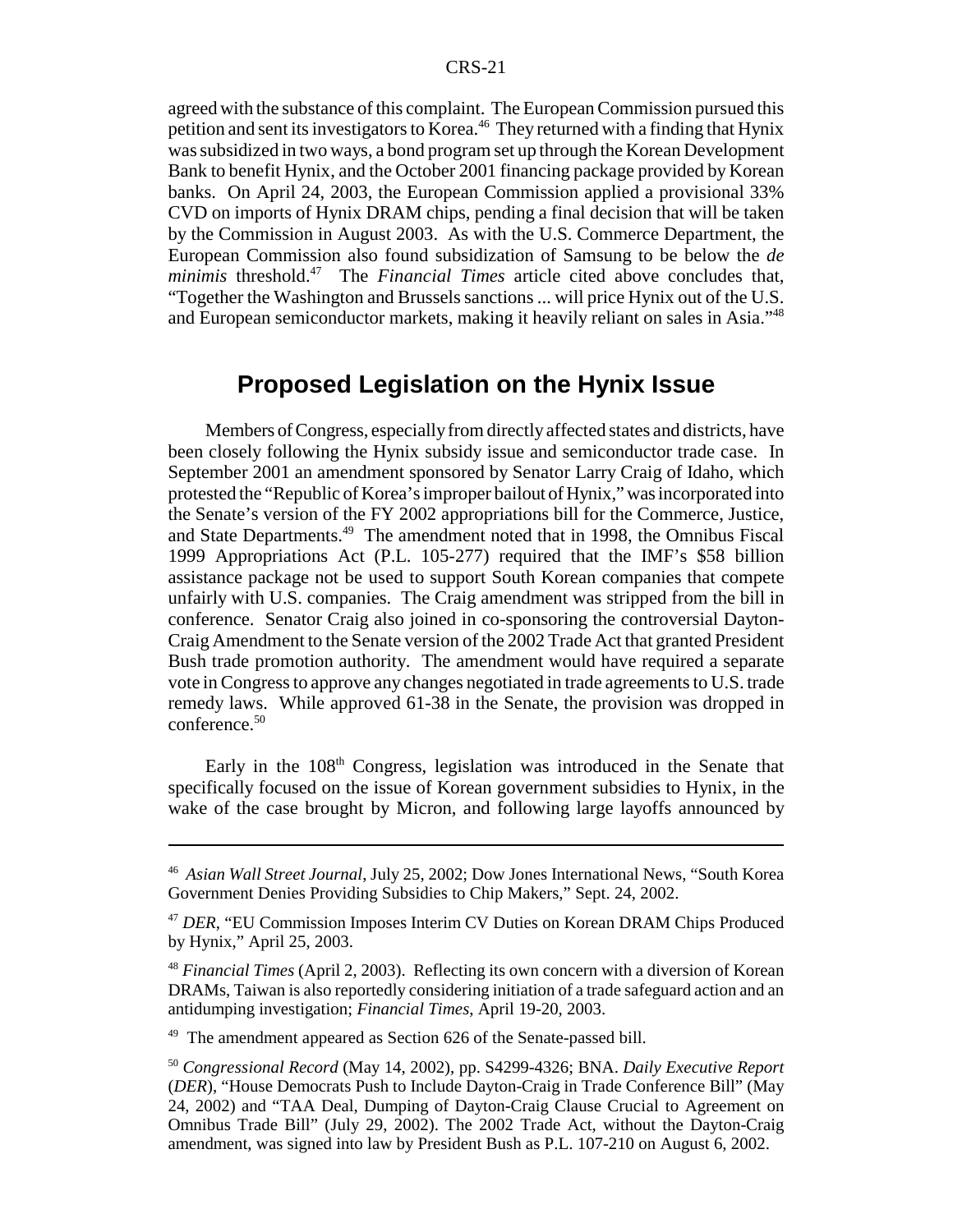agreed with the substance of this complaint. The European Commission pursued this petition and sent its investigators to Korea.<sup>46</sup> They returned with a finding that Hynix was subsidized in two ways, a bond program set up through the Korean Development Bank to benefit Hynix, and the October 2001 financing package provided by Korean banks. On April 24, 2003, the European Commission applied a provisional 33% CVD on imports of Hynix DRAM chips, pending a final decision that will be taken by the Commission in August 2003. As with the U.S. Commerce Department, the European Commission also found subsidization of Samsung to be below the *de minimis* threshold.<sup>47</sup> The *Financial Times* article cited above concludes that, "Together the Washington and Brussels sanctions ... will price Hynix out of the U.S. and European semiconductor markets, making it heavily reliant on sales in Asia."48

### **Proposed Legislation on the Hynix Issue**

Members of Congress, especially from directly affected states and districts, have been closely following the Hynix subsidy issue and semiconductor trade case. In September 2001 an amendment sponsored by Senator Larry Craig of Idaho, which protested the "Republic of Korea's improper bailout of Hynix," was incorporated into the Senate's version of the FY 2002 appropriations bill for the Commerce, Justice, and State Departments.<sup>49</sup> The amendment noted that in 1998, the Omnibus Fiscal 1999 Appropriations Act (P.L. 105-277) required that the IMF's \$58 billion assistance package not be used to support South Korean companies that compete unfairly with U.S. companies. The Craig amendment was stripped from the bill in conference. Senator Craig also joined in co-sponsoring the controversial Dayton-Craig Amendment to the Senate version of the 2002 Trade Act that granted President Bush trade promotion authority. The amendment would have required a separate vote in Congress to approve any changes negotiated in trade agreements to U.S. trade remedy laws. While approved 61-38 in the Senate, the provision was dropped in conference.<sup>50</sup>

Early in the  $108<sup>th</sup>$  Congress, legislation was introduced in the Senate that specifically focused on the issue of Korean government subsidies to Hynix, in the wake of the case brought by Micron, and following large layoffs announced by

<sup>49</sup> The amendment appeared as Section 626 of the Senate-passed bill.

<sup>46</sup> *Asian Wall Street Journal*, July 25, 2002; Dow Jones International News, "South Korea Government Denies Providing Subsidies to Chip Makers," Sept. 24, 2002.

<sup>47</sup> *DER*, "EU Commission Imposes Interim CV Duties on Korean DRAM Chips Produced by Hynix," April 25, 2003.

<sup>48</sup> *Financial Times* (April 2, 2003). Reflecting its own concern with a diversion of Korean DRAMs, Taiwan is also reportedly considering initiation of a trade safeguard action and an antidumping investigation; *Financial Times*, April 19-20, 2003.

<sup>50</sup> *Congressional Record* (May 14, 2002), pp. S4299-4326; BNA. *Daily Executive Report* (*DER*), "House Democrats Push to Include Dayton-Craig in Trade Conference Bill" (May 24, 2002) and "TAA Deal, Dumping of Dayton-Craig Clause Crucial to Agreement on Omnibus Trade Bill" (July 29, 2002). The 2002 Trade Act, without the Dayton-Craig amendment, was signed into law by President Bush as P.L. 107-210 on August 6, 2002.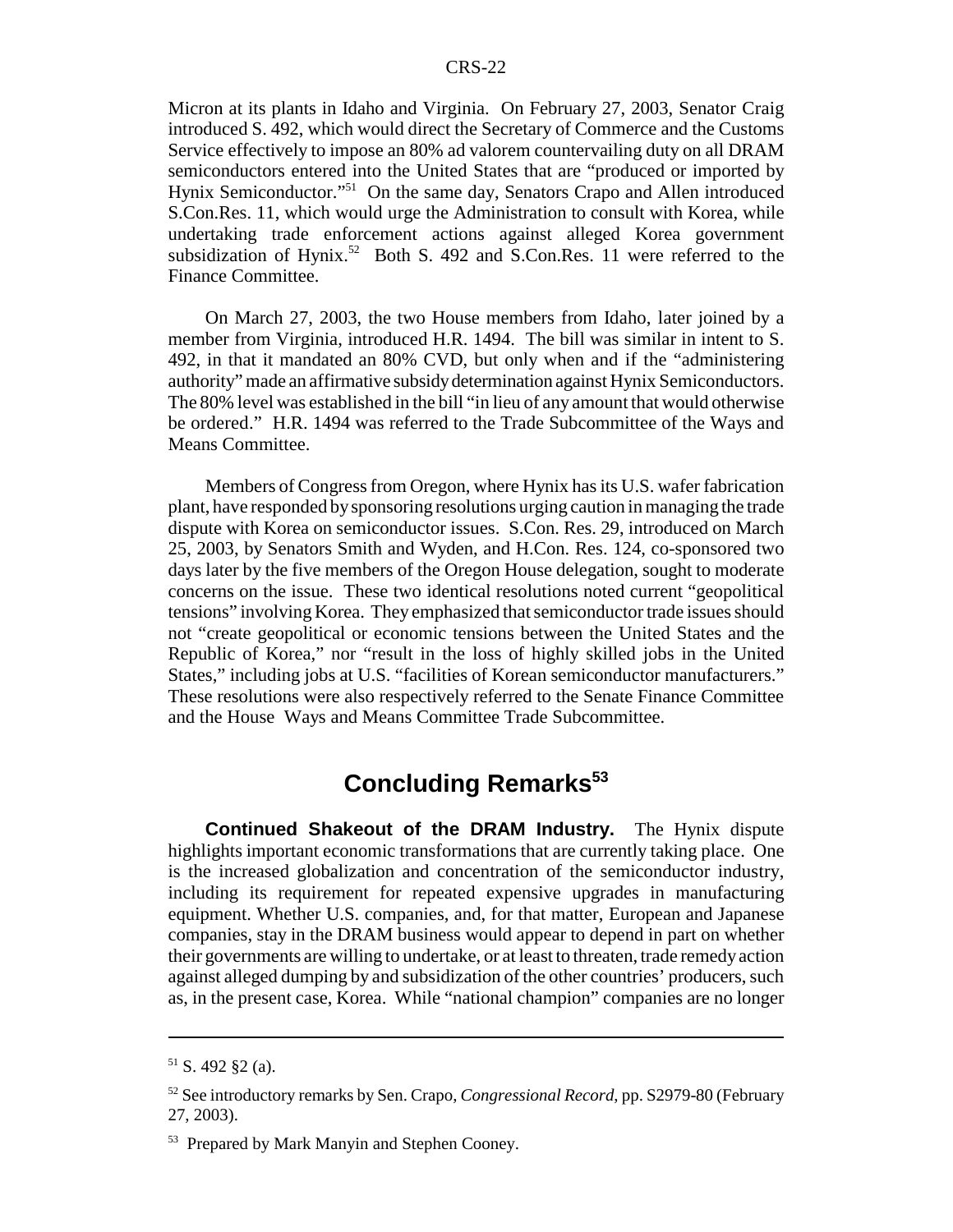Micron at its plants in Idaho and Virginia. On February 27, 2003, Senator Craig introduced S. 492, which would direct the Secretary of Commerce and the Customs Service effectively to impose an 80% ad valorem countervailing duty on all DRAM semiconductors entered into the United States that are "produced or imported by Hynix Semiconductor."<sup>51</sup> On the same day, Senators Crapo and Allen introduced S.Con.Res. 11, which would urge the Administration to consult with Korea, while undertaking trade enforcement actions against alleged Korea government subsidization of Hynix.<sup>52</sup> Both S. 492 and S.Con.Res. 11 were referred to the Finance Committee.

On March 27, 2003, the two House members from Idaho, later joined by a member from Virginia, introduced H.R. 1494. The bill was similar in intent to S. 492, in that it mandated an 80% CVD, but only when and if the "administering authority" made an affirmative subsidy determination against Hynix Semiconductors. The 80% level was established in the bill "in lieu of any amount that would otherwise be ordered." H.R. 1494 was referred to the Trade Subcommittee of the Ways and Means Committee.

Members of Congress from Oregon, where Hynix has its U.S. wafer fabrication plant, have responded by sponsoring resolutions urging caution in managing the trade dispute with Korea on semiconductor issues. S.Con. Res. 29, introduced on March 25, 2003, by Senators Smith and Wyden, and H.Con. Res. 124, co-sponsored two days later by the five members of the Oregon House delegation, sought to moderate concerns on the issue. These two identical resolutions noted current "geopolitical tensions" involving Korea. They emphasized that semiconductor trade issues should not "create geopolitical or economic tensions between the United States and the Republic of Korea," nor "result in the loss of highly skilled jobs in the United States," including jobs at U.S. "facilities of Korean semiconductor manufacturers." These resolutions were also respectively referred to the Senate Finance Committee and the House Ways and Means Committee Trade Subcommittee.

# **Concluding Remarks<sup>53</sup>**

**Continued Shakeout of the DRAM Industry.** The Hynix dispute highlights important economic transformations that are currently taking place. One is the increased globalization and concentration of the semiconductor industry, including its requirement for repeated expensive upgrades in manufacturing equipment. Whether U.S. companies, and, for that matter, European and Japanese companies, stay in the DRAM business would appear to depend in part on whether their governments are willing to undertake, or at least to threaten, trade remedy action against alleged dumping by and subsidization of the other countries' producers, such as, in the present case, Korea. While "national champion" companies are no longer

 $51$  S. 492 §2 (a).

<sup>52</sup> See introductory remarks by Sen. Crapo, *Congressional Record*, pp. S2979-80 (February 27, 2003).

<sup>53</sup> Prepared by Mark Manyin and Stephen Cooney.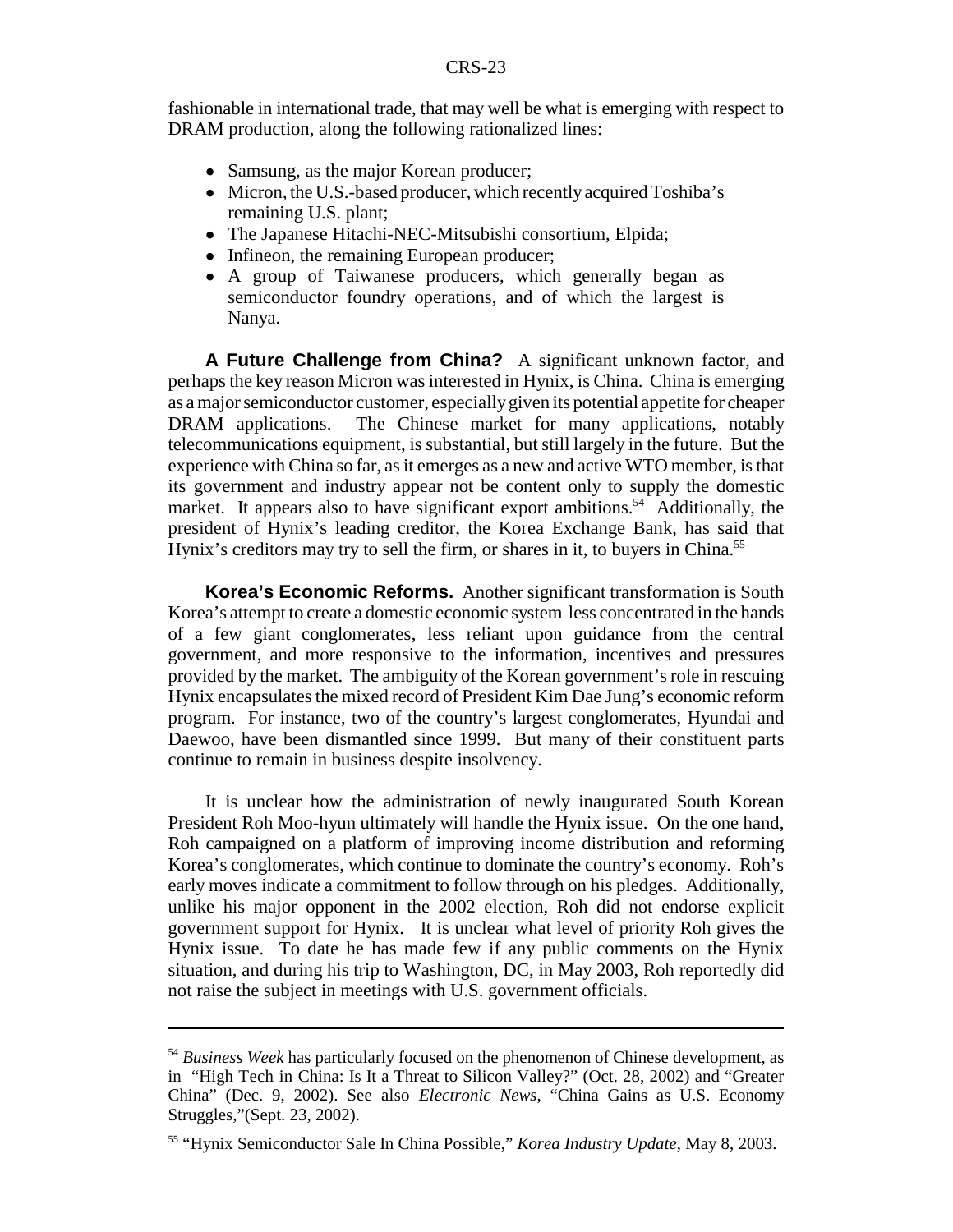fashionable in international trade, that may well be what is emerging with respect to DRAM production, along the following rationalized lines:

- Samsung, as the major Korean producer;
- Micron, the U.S.-based producer, which recently acquired Toshiba's remaining U.S. plant;
- The Japanese Hitachi-NEC-Mitsubishi consortium, Elpida;
- Infineon, the remaining European producer;
- A group of Taiwanese producers, which generally began as semiconductor foundry operations, and of which the largest is Nanya.

**A Future Challenge from China?** A significant unknown factor, and perhaps the key reason Micron was interested in Hynix, is China. China is emerging as a major semiconductor customer, especially given its potential appetite for cheaper DRAM applications. The Chinese market for many applications, notably telecommunications equipment, is substantial, but still largely in the future. But the experience with China so far, as it emerges as a new and active WTO member, is that its government and industry appear not be content only to supply the domestic market. It appears also to have significant export ambitions.<sup>54</sup> Additionally, the president of Hynix's leading creditor, the Korea Exchange Bank, has said that Hynix's creditors may try to sell the firm, or shares in it, to buyers in China.<sup>55</sup>

**Korea's Economic Reforms.** Another significant transformation is South Korea's attempt to create a domestic economic system less concentrated in the hands of a few giant conglomerates, less reliant upon guidance from the central government, and more responsive to the information, incentives and pressures provided by the market. The ambiguity of the Korean government's role in rescuing Hynix encapsulates the mixed record of President Kim Dae Jung's economic reform program. For instance, two of the country's largest conglomerates, Hyundai and Daewoo, have been dismantled since 1999. But many of their constituent parts continue to remain in business despite insolvency.

It is unclear how the administration of newly inaugurated South Korean President Roh Moo-hyun ultimately will handle the Hynix issue. On the one hand, Roh campaigned on a platform of improving income distribution and reforming Korea's conglomerates, which continue to dominate the country's economy. Roh's early moves indicate a commitment to follow through on his pledges. Additionally, unlike his major opponent in the 2002 election, Roh did not endorse explicit government support for Hynix. It is unclear what level of priority Roh gives the Hynix issue. To date he has made few if any public comments on the Hynix situation, and during his trip to Washington, DC, in May 2003, Roh reportedly did not raise the subject in meetings with U.S. government officials.

<sup>54</sup> *Business Week* has particularly focused on the phenomenon of Chinese development, as in "High Tech in China: Is It a Threat to Silicon Valley?" (Oct. 28, 2002) and "Greater China" (Dec. 9, 2002). See also *Electronic News*, "China Gains as U.S. Economy Struggles,"(Sept. 23, 2002).

<sup>55 &</sup>quot;Hynix Semiconductor Sale In China Possible," *Korea Industry Update*, May 8, 2003.